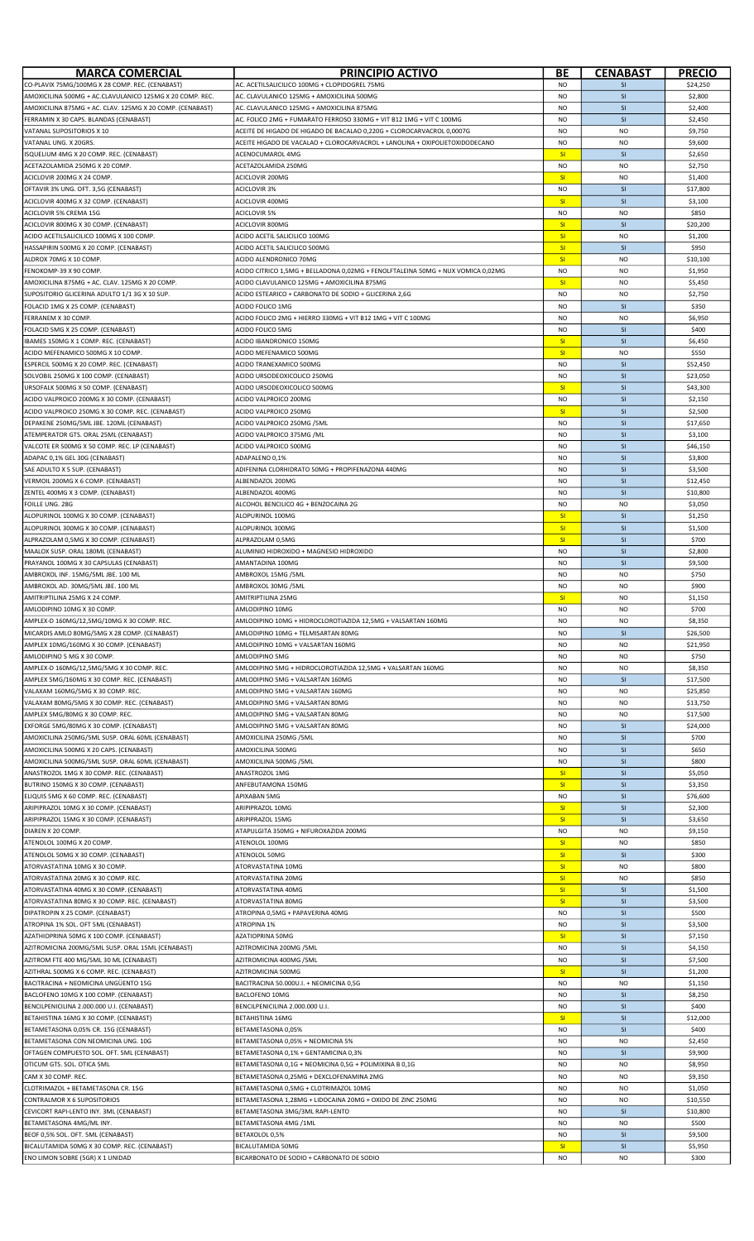| <b>MARCA COMERCIAL</b>                                                                              | PRINCIPIO ACTIVO                                                                                                               | ВE                     | <b>CENABAST</b>        | <b>PRECIO</b>        |
|-----------------------------------------------------------------------------------------------------|--------------------------------------------------------------------------------------------------------------------------------|------------------------|------------------------|----------------------|
| CO-PLAVIX 75MG/100MG X 28 COMP. REC. (CENABAST)                                                     | AC. ACETILSALICILICO 100MG + CLOPIDOGREL 75MG                                                                                  | N <sub>O</sub>         | <b>SI</b>              | \$24,250             |
| AMOXICILINA 500MG + AC.CLAVULANICO 125MG X 20 COMP. REC.                                            | AC. CLAVULANICO 125MG + AMOXICILINA 500MG                                                                                      | N <sub>O</sub>         | SI                     | \$2,800              |
| AMOXICILINA 875MG + AC. CLAV. 125MG X 20 COMP. (CENABAST)<br>FERRAMIN X 30 CAPS. BLANDAS (CENABAST) | AC. CLAVULANICO 125MG + AMOXICILINA 875MG<br>AC. FOLICO 2MG + FUMARATO FERROSO 330MG + VIT B12 1MG + VIT C 100MG               | <b>NO</b><br><b>NO</b> | <b>SI</b><br>SI        | \$2,400<br>\$2,450   |
| VATANAL SUPOSITORIOS X 10                                                                           | ACEITE DE HIGADO DE HIGADO DE BACALAO 0,220G + CLOROCARVACROL 0,0007G                                                          | <b>NO</b>              | <b>NO</b>              | \$9,750              |
| VATANAL UNG. X 20GRS.                                                                               | ACEITE HIGADO DE VACALAO + CLOROCARVACROL + LANOLINA + OXIPOLIETOXIDODECANO                                                    | <b>NO</b>              | <b>NO</b>              | \$9,600              |
| SQUELIUM 4MG X 20 COMP. REC. (CENABAST)                                                             | ACENOCUMAROL 4MG                                                                                                               | SI                     | SI                     | \$2,650              |
| ACETAZOLAMIDA 250MG X 20 COMP.                                                                      | ACETAZOLAMIDA 250MG                                                                                                            | <b>NO</b>              | N <sub>O</sub>         | \$2,750              |
| ACICLOVIR 200MG X 24 COMP.                                                                          | ACICLOVIR 200MG                                                                                                                | SI                     | <b>NO</b>              | \$1,400              |
| OFTAVIR 3% UNG. OFT. 3,5G (CENABAST)<br>ACICLOVIR 400MG X 32 COMP. (CENABAST)                       | <b>ACICLOVIR 3%</b><br>ACICLOVIR 400MG                                                                                         | <b>NO</b><br>SI        | SI<br>SI               | \$17,800<br>\$3,100  |
| <b>ACICLOVIR 5% CREMA 15G</b>                                                                       | <b>ACICLOVIR 5%</b>                                                                                                            | <b>NO</b>              | <b>NO</b>              | \$850                |
| ACICLOVIR 800MG X 30 COMP. (CENABAST)                                                               | ACICLOVIR 800MG                                                                                                                | SI                     | SI                     | \$20,200             |
| ACIDO ACETILSALICILICO 100MG X 100 COMP.                                                            | ACIDO ACETIL SALICILICO 100MG                                                                                                  | SI                     | <b>NO</b>              | \$1,200              |
| HASSAPIRIN 500MG X 20 COMP. (CENABAST)                                                              | ACIDO ACETIL SALICILICO 500MG                                                                                                  | SI                     | SI                     | \$950                |
| ALDROX 70MG X 10 COMP.                                                                              | ACIDO ALENDRONICO 70MG                                                                                                         | SI                     | <b>NO</b>              | \$10,100             |
| FENOKOMP-39 X 90 COMP.<br>AMOXICILINA 875MG + AC. CLAV. 125MG X 20 COMP.                            | ACIDO CITRICO 1,5MG + BELLADONA 0,02MG + FENOLFTALEINA 50MG + NUX VOMICA 0,02MG<br>ACIDO CLAVULANICO 125MG + AMOXICILINA 875MG | <b>NO</b><br><b>SI</b> | <b>NO</b><br><b>NO</b> | \$1,950<br>\$5,450   |
| SUPOSITORIO GLICERINA ADULTO 1/1 3G X 10 SUP                                                        | ACIDO ESTEARICO + CARBONATO DE SODIO + GLICERINA 2,6G                                                                          | <b>NO</b>              | <b>NO</b>              | \$2,750              |
| FOLACID 1MG X 25 COMP. (CENABAST)                                                                   | ACIDO FOLICO 1MG                                                                                                               | <b>NO</b>              | SI                     | \$350                |
| FERRANEM X 30 COMP.                                                                                 | ACIDO FOLICO 2MG + HIERRO 330MG + VIT B12 1MG + VIT C 100MG                                                                    | <b>NO</b>              | <b>NO</b>              | \$6,950              |
| FOLACID 5MG X 25 COMP. (CENABAST)                                                                   | ACIDO FOLICO 5MG                                                                                                               | <b>NO</b>              | SI                     | \$400                |
| BAMES 150MG X 1 COMP. REC. (CENABAST)                                                               | ACIDO IBANDRONICO 150MG                                                                                                        | <b>SI</b>              | SI                     | \$6,450              |
| ACIDO MEFENAMICO 500MG X 10 COMP                                                                    | ACIDO MEFENAMICO 500MG                                                                                                         | SI                     | <b>NO</b><br>SI        | \$550                |
| ESPERCIL 500MG X 20 COMP. REC. (CENABAST)<br>SOLVOBIL 250MG X 100 COMP. (CENABAST)                  | ACIDO TRANEXAMICO 500MG<br>ACIDO URSODEOXICOLICO 250MG                                                                         | <b>NO</b><br><b>NO</b> | SI                     | \$52,450<br>\$23,050 |
| URSOFALK 500MG X 50 COMP. (CENABAST)                                                                | ACIDO URSODEOXICOLICO 500MG                                                                                                    | <b>SI</b>              | SI                     | \$43,300             |
| ACIDO VALPROICO 200MG X 30 COMP. (CENABAST)                                                         | ACIDO VALPROICO 200MG                                                                                                          | <b>NO</b>              | SI                     | \$2,150              |
| ACIDO VALPROICO 250MG X 30 COMP. REC. (CENABAST)                                                    | ACIDO VALPROICO 250MG                                                                                                          | SI                     | SI                     | \$2,500              |
| DEPAKENE 250MG/5ML JBE. 120ML (CENABAST)                                                            | ACIDO VALPROICO 250MG / 5ML                                                                                                    | <b>NO</b>              | SI                     | \$17,650             |
| ATEMPERATOR GTS. ORAL 25ML (CENABAST)                                                               | ACIDO VALPROICO 375MG /ML                                                                                                      | <b>NO</b>              | SI                     | \$3,100              |
| VALCOTE ER 500MG X 50 COMP. REC. LP (CENABAST)<br>ADAPAC 0,1% GEL 30G (CENABAST)                    | ACIDO VALPROICO 500MG<br>ADAPALENO 0,1%                                                                                        | <b>NO</b><br><b>NO</b> | SI<br>SI               | \$46,150<br>\$3,800  |
| SAE ADULTO X 5 SUP. (CENABAST)                                                                      | ADIFENINA CLORHIDRATO 50MG + PROPIFENAZONA 440MG                                                                               | <b>NO</b>              | <b>SI</b>              | \$3,500              |
| VERMOIL 200MG X 6 COMP. (CENABAST)                                                                  | ALBENDAZOL 200MG                                                                                                               | <b>NO</b>              | SI                     | \$12,450             |
| ZENTEL 400MG X 3 COMP. (CENABAST)                                                                   | ALBENDAZOL 400MG                                                                                                               | <b>NO</b>              | <b>SI</b>              | \$10,800             |
| FOILLE UNG. 28G                                                                                     | ALCOHOL BENCILICO 4G + BENZOCAINA 2G                                                                                           | <b>NO</b>              | <b>NO</b>              | \$3,050              |
| ALOPURINOL 100MG X 30 COMP. (CENABAST)                                                              | ALOPURINOL 100MG                                                                                                               | SI                     | SI                     | \$1,250              |
| ALOPURINOL 300MG X 30 COMP. (CENABAST)                                                              | ALOPURINOL 300MG                                                                                                               | SI                     | SI                     | \$1,500              |
| ALPRAZOLAM 0,5MG X 30 COMP. (CENABAST)<br>MAALOX SUSP. ORAL 180ML (CENABAST)                        | ALPRAZOLAM 0,5MG<br>ALUMINIO HIDROXIDO + MAGNESIO HIDROXIDO                                                                    | SI<br><b>NO</b>        | SI<br>SI               | \$700<br>\$2,800     |
| PRAYANOL 100MG X 30 CAPSULAS (CENABAST)                                                             | AMANTADINA 100MG                                                                                                               | <b>NO</b>              | <b>SI</b>              | \$9,500              |
| AMBROXOL INF. 15MG/5ML JBE. 100 ML                                                                  | AMBROXOL 15MG / 5ML                                                                                                            | <b>NO</b>              | <b>NO</b>              | \$750                |
| AMBROXOL AD. 30MG/5ML JBE. 100 ML                                                                   | AMBROXOL 30MG /5ML                                                                                                             | <b>NO</b>              | <b>NO</b>              | \$900                |
| AMITRIPTILINA 25MG X 24 COMP.                                                                       | AMITRIPTILINA 25MG                                                                                                             | <b>SI</b>              | <b>NO</b>              | \$1,150              |
| AMLODIPINO 10MG X 30 COMP.                                                                          | AMLODIPINO 10MG                                                                                                                | <b>NO</b>              | N <sub>O</sub>         | \$700                |
| AMPLEX-D 160MG/12,5MG/10MG X 30 COMP. REC.<br>MICARDIS AMLO 80MG/5MG X 28 COMP. (CENABAST)          | AMLODIPINO 10MG + HIDROCLOROTIAZIDA 12,5MG + VALSARTAN 160MG<br>AMLODIPINO 10MG + TELMISARTAN 80MG                             | NO<br><b>NO</b>        | <b>NO</b><br><b>SI</b> | \$8,350<br>\$26,500  |
| AMPLEX 10MG/160MG X 30 COMP. (CENABAST)                                                             | AMLODIPINO 10MG + VALSARTAN 160MG                                                                                              | <b>NO</b>              | <b>NO</b>              | \$21,950             |
| AMLODIPINO 5 MG X 30 COMP.                                                                          | AMLODIPINO 5MG                                                                                                                 | <b>NO</b>              | <b>NO</b>              | \$750                |
| AMPLEX-D 160MG/12,5MG/5MG X 30 COMP. REC.                                                           | AMLODIPINO 5MG + HIDROCLOROTIAZIDA 12,5MG + VALSARTAN 160MG                                                                    | <b>NO</b>              | <b>NO</b>              | \$8,350              |
| AMPLEX 5MG/160MG X 30 COMP. REC. (CENABAST)                                                         | AMLODIPINO 5MG + VALSARTAN 160MG                                                                                               | <b>NO</b>              | SI                     | \$17,500             |
| VALAXAM 160MG/5MG X 30 COMP. REC.                                                                   | AMLODIPINO 5MG + VALSARTAN 160MG                                                                                               | <b>NO</b>              | <b>NO</b>              | \$25,850             |
| VALAXAM 80MG/5MG X 30 COMP. REC. (CENABAST)<br>AMPLEX 5MG/80MG X 30 COMP. REC.                      | AMLODIPINO 5MG + VALSARTAN 80MG<br>AMLODIPINO 5MG + VALSARTAN 80MG                                                             | <b>NO</b><br><b>NO</b> | <b>NO</b><br><b>NO</b> | \$13,750<br>\$17,500 |
| EXFORGE 5MG/80MG X 30 COMP. (CENABAST)                                                              | AMLODIPINO 5MG + VALSARTAN 80MG                                                                                                | <b>NO</b>              | SI                     | \$24,000             |
| AMOXICILINA 250MG/5ML SUSP. ORAL 60ML (CENABAST)                                                    | AMOXICILINA 250MG /5ML                                                                                                         | <b>NO</b>              | SI                     | \$700                |
| AMOXICILINA 500MG X 20 CAPS. (CENABAST)                                                             | AMOXICILINA 500MG                                                                                                              | N <sub>O</sub>         | SI                     | \$650                |
| AMOXICILINA 500MG/5ML SUSP. ORAL 60ML (CENABAST)                                                    | AMOXICILINA 500MG / 5ML                                                                                                        | <b>NO</b>              | SI                     | \$800                |
| ANASTROZOL 1MG X 30 COMP. REC. (CENABAST)                                                           | ANASTROZOL 1MG                                                                                                                 | <b>SI</b>              | SI                     | \$5,050              |
| BUTRINO 150MG X 30 COMP. (CENABAST)<br>ELIQUIS 5MG X 60 COMP. REC. (CENABAST)                       | ANFEBUTAMONA 150MG<br>APIXABAN 5MG                                                                                             | SI<br><b>NO</b>        | SI<br>SI               | \$3,350<br>\$76,600  |
| ARIPIPRAZOL 10MG X 30 COMP. (CENABAST)                                                              | ARIPIPRAZOL 10MG                                                                                                               | SI                     | SI                     | \$2,300              |
| ARIPIPRAZOL 15MG X 30 COMP. (CENABAST)                                                              | ARIPIPRAZOL 15MG                                                                                                               | SI                     | <b>SI</b>              | \$3,650              |
| DIAREN X 20 COMP.                                                                                   | ATAPULGITA 350MG + NIFUROXAZIDA 200MG                                                                                          | <b>NO</b>              | <b>NO</b>              | \$9,150              |
| ATENOLOL 100MG X 20 COMP.                                                                           | ATENOLOL 100MG                                                                                                                 | <b>SI</b>              | <b>NO</b>              | \$850                |
| ATENOLOL 50MG X 30 COMP. (CENABAST)                                                                 | ATENOLOL 50MG                                                                                                                  | SI                     | SI                     | \$300                |
| ATORVASTATINA 10MG X 30 COMP.                                                                       | ATORVASTATINA 10MG                                                                                                             | SI<br>SI               | <b>NO</b>              | \$800                |
| ATORVASTATINA 20MG X 30 COMP. REC.<br>ATORVASTATINA 40MG X 30 COMP. (CENABAST)                      | ATORVASTATINA 20MG<br>ATORVASTATINA 40MG                                                                                       | SI                     | <b>NO</b><br>SI        | \$850<br>\$1,500     |
| ATORVASTATINA 80MG X 30 COMP. REC. (CENABAST)                                                       | ATORVASTATINA 80MG                                                                                                             | SI                     | SI                     | \$3,500              |
| DIPATROPIN X 25 COMP. (CENABAST)                                                                    | ATROPINA 0,5MG + PAPAVERINA 40MG                                                                                               | NO                     | <b>SI</b>              | \$500                |
| ATROPINA 1% SOL. OFT 5ML (CENABAST)                                                                 | ATROPINA 1%                                                                                                                    | <b>NO</b>              | SI                     | \$3,500              |
| AZATHIOPRINA 50MG X 100 COMP. (CENABAST)                                                            | AZATIOPRINA 50MG                                                                                                               | SI                     | SI                     | \$7,150              |
| AZITROMICINA 200MG/5ML SUSP. ORAL 15ML (CENABAST)                                                   | AZITROMICINA 200MG /5ML                                                                                                        | <b>NO</b>              | SI                     | \$4,150              |
| AZITROM FTE 400 MG/5ML 30 ML (CENABAST)<br>AZITHRAL 500MG X 6 COMP. REC. (CENABAST)                 | AZITROMICINA 400MG /5ML<br>AZITROMICINA 500MG                                                                                  | <b>NO</b><br><b>SI</b> | SI<br>SI               | \$7,500<br>\$1,200   |
| BACITRACINA + NEOMICINA UNGÜENTO 15G                                                                | BACITRACINA 50.000U.I. + NEOMICINA 0,5G                                                                                        | NO                     | <b>NO</b>              | \$1,150              |
| BACLOFENO 10MG X 100 COMP. (CENABAST)                                                               | <b>BACLOFENO 10MG</b>                                                                                                          | <b>NO</b>              | SI                     | \$8,250              |
| BENCILPENICILINA 2.000.000 U.I. (CENABAST)                                                          | BENCILPENICILINA 2.000.000 U.I.                                                                                                | <b>NO</b>              | SI                     | \$400                |
| BETAHISTINA 16MG X 30 COMP. (CENABAST)                                                              | <b>BETAHISTINA 16MG</b>                                                                                                        | SI                     | SI                     | \$12,000             |
| BETAMETASONA 0,05% CR. 15G (CENABAST)                                                               | BETAMETASONA 0,05%                                                                                                             | <b>NO</b>              | SI                     | \$400                |
| BETAMETASONA CON NEOMICINA UNG. 10G<br>OFTAGEN COMPUESTO SOL. OFT. 5ML (CENABAST)                   | BETAMETASONA 0,05% + NEOMICINA 5%<br>BETAMETASONA 0,1% + GENTAMICINA 0,3%                                                      | <b>NO</b><br><b>NO</b> | <b>NO</b><br><b>SI</b> | \$2,450<br>\$9,900   |
| OTICUM GTS. SOL. OTICA 5ML                                                                          | BETAMETASONA 0.1G + NEOMICINA 0.5G + POLIMIXINA B 0.1G                                                                         | <b>NO</b>              | <b>NO</b>              | \$8,950              |
| CAM X 30 COMP. REC.                                                                                 | BETAMETASONA 0,25MG + DEXCLOFENAMINA 2MG                                                                                       | <b>NO</b>              | <b>NO</b>              | \$9,350              |
| CLOTRIMAZOL + BETAMETASONA CR. 15G                                                                  | BETAMETASONA 0,5MG + CLOTRIMAZOL 10MG                                                                                          | <b>NO</b>              | <b>NO</b>              | \$1,050              |
| CONTRALMOR X 6 SUPOSITORIOS                                                                         | BETAMETASONA 1,28MG + LIDOCAINA 20MG + OXIDO DE ZINC 250MG                                                                     | <b>NO</b>              | <b>NO</b>              | \$10,550             |
| CEVICORT RAPI-LENTO INY. 3ML (CENABAST)                                                             | BETAMETASONA 3MG/3ML RAPI-LENTO                                                                                                | <b>NO</b>              | <b>SI</b>              | \$10,800             |
| BETAMETASONA 4MG/ML INY.<br>BEOF 0,5% SOL. OFT. 5ML (CENABAST)                                      | BETAMETASONA 4MG /1ML                                                                                                          | <b>NO</b>              | <b>NO</b><br>SI        | \$500                |
| BICALUTAMIDA 50MG X 30 COMP. REC. (CENABAST)                                                        | BETAXOLOL 0,5%<br>BICALUTAMIDA 50MG                                                                                            | NO<br><b>SI</b>        | <b>SI</b>              | \$9,500<br>\$5,950   |
| ENO LIMON SOBRE (5GR) X 1 UNIDAD                                                                    | BICARBONATO DE SODIO + CARBONATO DE SODIO                                                                                      | <b>NO</b>              | <b>NO</b>              | \$300                |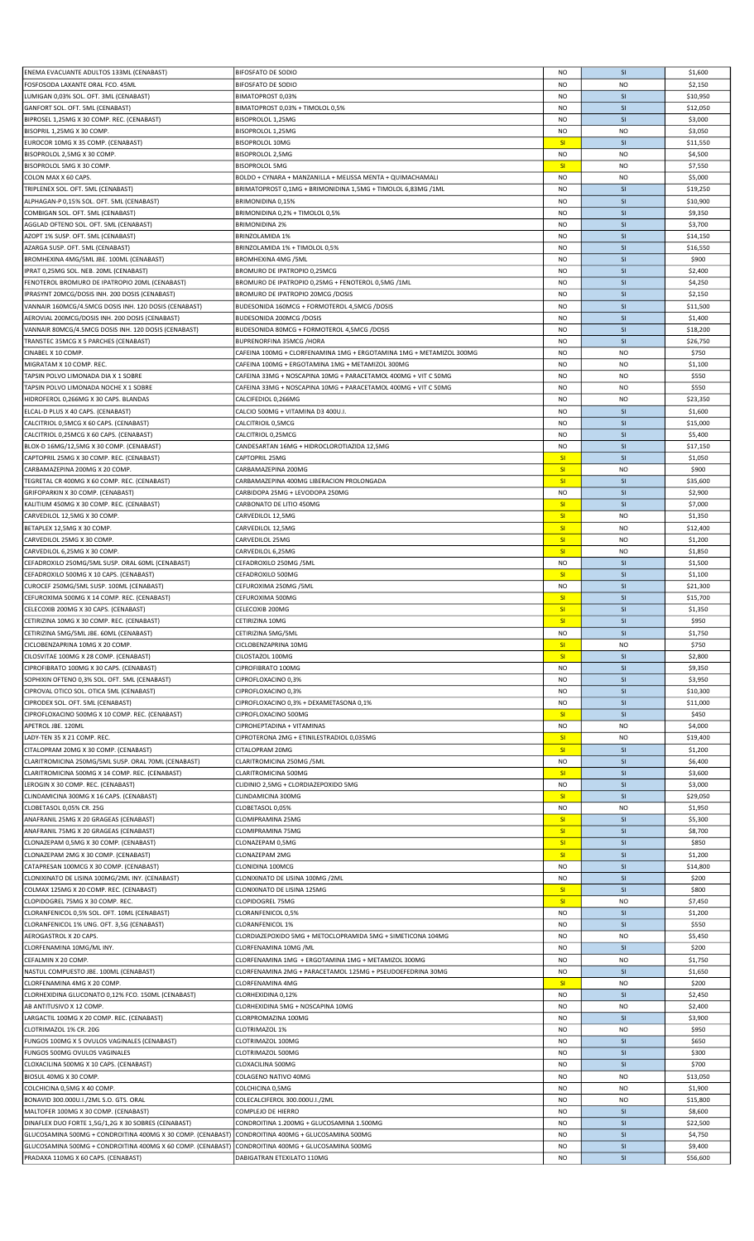| ENEMA EVACUANTE ADULTOS 133ML (CENABAST)                    | <b>BIFOSFATO DE SODIO</b>                                           | <b>NO</b>      | SI        | \$1,600  |
|-------------------------------------------------------------|---------------------------------------------------------------------|----------------|-----------|----------|
| FOSFOSODA LAXANTE ORAL FCO. 45ML                            | <b>BIFOSFATO DE SODIO</b>                                           | NO             | <b>NO</b> | \$2,150  |
|                                                             |                                                                     |                |           |          |
| LUMIGAN 0,03% SOL. OFT. 3ML (CENABAST)                      | BIMATOPROST 0,03%                                                   | <b>NO</b>      | <b>SI</b> | \$10,950 |
| GANFORT SOL. OFT. 5ML (CENABAST)                            | BIMATOPROST 0,03% + TIMOLOL 0,5%                                    | <b>NO</b>      | SI        | \$12,050 |
| BIPROSEL 1,25MG X 30 COMP. REC. (CENABAST)                  | BISOPROLOL 1,25MG                                                   | <b>NO</b>      | <b>SI</b> | \$3,000  |
| BISOPRIL 1,25MG X 30 COMP.                                  | BISOPROLOL 1,25MG                                                   | <b>NO</b>      | <b>NO</b> | \$3,050  |
| EUROCOR 10MG X 35 COMP. (CENABAST)                          | <b>BISOPROLOL 10MG</b>                                              | SI             | <b>SI</b> | \$11,550 |
| BISOPROLOL 2,5MG X 30 COMP.                                 | BISOPROLOL 2,5MG                                                    | <b>NO</b>      | <b>NO</b> | \$4,500  |
|                                                             |                                                                     |                |           |          |
| BISOPROLOL 5MG X 30 COMP.                                   | <b>BISOPROLOL 5MG</b>                                               | SI             | <b>NO</b> | \$7,550  |
| COLON MAX X 60 CAPS.                                        | BOLDO + CYNARA + MANZANILLA + MELISSA MENTA + QUIMACHAMALI          | <b>NO</b>      | <b>NO</b> | \$5,000  |
| TRIPLENEX SOL. OFT. 5ML (CENABAST)                          | BRIMATOPROST 0,1MG + BRIMONIDINA 1,5MG + TIMOLOL 6,83MG /1ML        | <b>NO</b>      | SI        | \$19,250 |
| ALPHAGAN-P 0,15% SOL. OFT. 5ML (CENABAST)                   | BRIMONIDINA 0,15%                                                   | <b>NO</b>      | SI        | \$10,900 |
| COMBIGAN SOL. OFT. 5ML (CENABAST)                           | BRIMONIDINA 0,2% + TIMOLOL 0,5%                                     | <b>NO</b>      | <b>SI</b> | \$9,350  |
|                                                             |                                                                     |                |           |          |
| AGGLAD OFTENO SOL. OFT. 5ML (CENABAST)                      | <b>BRIMONIDINA 2%</b>                                               | <b>NO</b>      | <b>SI</b> | \$3,700  |
| AZOPT 1% SUSP. OFT. 5ML (CENABAST)                          | <b>BRINZOLAMIDA 1%</b>                                              | <b>NO</b>      | SI        | \$14,150 |
| AZARGA SUSP. OFT. 5ML (CENABAST)                            | BRINZOLAMIDA 1% + TIMOLOL 0,5%                                      | <b>NO</b>      | SI        | \$16,550 |
| BROMHEXINA 4MG/5ML JBE. 100ML (CENABAST)                    | <b>BROMHEXINA 4MG /5ML</b>                                          | <b>NO</b>      | SI        | \$900    |
| IPRAT 0,25MG SOL. NEB. 20ML (CENABAST)                      | BROMURO DE IPATROPIO 0,25MCG                                        | <b>NO</b>      | SI        | \$2,400  |
| FENOTEROL BROMURO DE IPATROPIO 20ML (CENABAST)              | BROMURO DE IPATROPIO 0,25MG + FENOTEROL 0,5MG /1ML                  | <b>NO</b>      | <b>SI</b> | \$4,250  |
|                                                             |                                                                     |                |           |          |
| IPRASYNT 20MCG/DOSIS INH. 200 DOSIS (CENABAST)              | BROMURO DE IPATROPIO 20MCG /DOSIS                                   | <b>NO</b>      | SI        | \$2,150  |
| VANNAIR 160MCG/4.5MCG DOSIS INH. 120 DOSIS (CENABAST)       | BUDESONIDA 160MCG + FORMOTEROL 4,5MCG /DOSIS                        | NO             | SI        | \$11,500 |
| AEROVIAL 200MCG/DOSIS INH. 200 DOSIS (CENABAST)             | <b>BUDESONIDA 200MCG /DOSIS</b>                                     | <b>NO</b>      | <b>SI</b> | \$1,400  |
| VANNAIR 80MCG/4.5MCG DOSIS INH. 120 DOSIS (CENABAST)        | BUDESONIDA 80MCG + FORMOTEROL 4,5MCG /DOSIS                         | <b>NO</b>      | SI        | \$18,200 |
| TRANSTEC 35MCG X 5 PARCHES (CENABAST)                       | BUPRENORFINA 35MCG /HORA                                            | <b>NO</b>      | SI        | \$26,750 |
|                                                             |                                                                     |                |           |          |
| CINABEL X 10 COMP.                                          | CAFEINA 100MG + CLORFENAMINA 1MG + ERGOTAMINA 1MG + METAMIZOL 300MG | <b>NO</b>      | <b>NO</b> | \$750    |
| MIGRATAM X 10 COMP. REC.                                    | CAFEINA 100MG + ERGOTAMINA 1MG + METAMIZOL 300MG                    | <b>NO</b>      | <b>NO</b> | \$1,100  |
| TAPSIN POLVO LIMONADA DIA X 1 SOBRE                         | CAFEINA 33MG + NOSCAPINA 10MG + PARACETAMOL 400MG + VIT C 50MG      | <b>NO</b>      | <b>NO</b> | \$550    |
| TAPSIN POLVO LIMONADA NOCHE X 1 SOBRE                       | CAFEINA 33MG + NOSCAPINA 10MG + PARACETAMOL 400MG + VIT C 50MG      | <b>NO</b>      | <b>NO</b> | \$550    |
| HIDROFEROL 0,266MG X 30 CAPS. BLANDAS                       | CALCIFEDIOL 0,266MG                                                 | <b>NO</b>      | <b>NO</b> | \$23,350 |
|                                                             |                                                                     |                |           |          |
| ELCAL-D PLUS X 40 CAPS. (CENABAST)                          | CALCIO 500MG + VITAMINA D3 400U.I.                                  | <b>NO</b>      | SI        | \$1,600  |
| CALCITRIOL 0,5MCG X 60 CAPS. (CENABAST)                     | CALCITRIOIL 0,5MCG                                                  | <b>NO</b>      | SI        | \$15,000 |
| CALCITRIOL 0,25MCG X 60 CAPS. (CENABAST)                    | CALCITRIOL 0,25MCG                                                  | <b>NO</b>      | SI        | \$5,400  |
| BLOX-D 16MG/12,5MG X 30 COMP. (CENABAST)                    | CANDESARTAN 16MG + HIDROCLOROTIAZIDA 12,5MG                         | NO             | <b>SI</b> | \$17,150 |
| CAPTOPRIL 25MG X 30 COMP. REC. (CENABAST)                   | CAPTOPRIL 25MG                                                      | SI             | SI        | \$1,050  |
|                                                             |                                                                     |                |           |          |
| CARBAMAZEPINA 200MG X 20 COMP.                              | CARBAMAZEPINA 200MG                                                 | SI             | <b>NO</b> | \$900    |
| TEGRETAL CR 400MG X 60 COMP. REC. (CENABAST)                | CARBAMAZEPINA 400MG LIBERACION PROLONGADA                           | SI             | SI        | \$35,600 |
| GRIFOPARKIN X 30 COMP. (CENABAST)                           | CARBIDOPA 25MG + LEVODOPA 250MG                                     | <b>NO</b>      | SI        | \$2,900  |
| KALITIUM 450MG X 30 COMP. REC. (CENABAST)                   | CARBONATO DE LITIO 450MG                                            | SI             | <b>SI</b> | \$7,000  |
|                                                             |                                                                     | SI             | <b>NO</b> | \$1,350  |
| CARVEDILOL 12,5MG X 30 COMP.                                | CARVEDILOL 12,5MG                                                   |                |           |          |
| BETAPLEX 12,5MG X 30 COMP.                                  | CARVEDILOL 12,5MG                                                   | SI             | <b>NO</b> | \$12,400 |
| CARVEDILOL 25MG X 30 COMP.                                  | CARVEDILOL 25MG                                                     | SI             | <b>NO</b> | \$1,200  |
| CARVEDILOL 6,25MG X 30 COMP.                                | CARVEDILOL 6,25MG                                                   | SI             | <b>NO</b> | \$1,850  |
| CEFADROXILO 250MG/5ML SUSP. ORAL 60ML (CENABAST)            | CEFADROXILO 250MG /5ML                                              | <b>NO</b>      | SI        | \$1,500  |
|                                                             |                                                                     |                | <b>SI</b> |          |
| CEFADROXILO 500MG X 10 CAPS. (CENABAST)                     | CEFADROXILO 500MG                                                   | SI             |           | \$1,100  |
| CUROCEF 250MG/5ML SUSP. 100ML (CENABAST)                    | CEFUROXIMA 250MG /5ML                                               | <b>NO</b>      | SI        | \$21,300 |
| CEFUROXIMA 500MG X 14 COMP. REC. (CENABAST)                 | CEFUROXIMA 500MG                                                    | SI             | <b>SI</b> | \$15,700 |
| CELECOXIB 200MG X 30 CAPS. (CENABAST)                       | CELECOXIB 200MG                                                     | SI             | <b>SI</b> | \$1,350  |
| CETIRIZINA 10MG X 30 COMP. REC. (CENABAST)                  | CETIRIZINA 10MG                                                     | SI             | SI        | \$950    |
| CETIRIZINA 5MG/5ML JBE. 60ML (CENABAST)                     | CETIRIZINA 5MG/5ML                                                  | <b>NO</b>      | <b>SI</b> | \$1,750  |
|                                                             |                                                                     |                |           |          |
| CICLOBENZAPRINA 10MG X 20 COMP.                             | CICLOBENZAPRINA 10MG                                                | SI             | <b>NO</b> | \$750    |
| CILOSVITAE 100MG X 28 COMP. (CENABAST)                      | CILOSTAZOL 100MG                                                    | SI             | SI        | \$2,800  |
| CIPROFIBRATO 100MG X 30 CAPS. (CENABAST)                    | CIPROFIBRATO 100MG                                                  | <b>NO</b>      | <b>SI</b> | \$9,350  |
| SOPHIXIN OFTENO 0,3% SOL. OFT. 5ML (CENABAST)               | CIPROFLOXACINO 0,3%                                                 | <b>NO</b>      | <b>SI</b> | \$3,950  |
| CIPROVAL OTICO SOL. OTICA 5ML (CENABAST)                    | CIPROFLOXACINO 0,3%                                                 | <b>NO</b>      | SI        | \$10,300 |
|                                                             |                                                                     |                |           |          |
| CIPRODEX SOL. OFT. 5ML (CENABAST)                           | CIPROFLOXACINO 0,3% + DEXAMETASONA 0,1%                             | NO             | SI        | \$11,000 |
| CIPROFLOXACINO 500MG X 10 COMP. REC. (CENABAST)             | CIPROFLOXACINO 500MG                                                | SI             | SI        | \$450    |
| APETROL JBE. 120ML                                          | CIPROHEPTADINA + VITAMINAS                                          | <b>NO</b>      | <b>NO</b> | \$4,000  |
| LADY-TEN 35 X 21 COMP. REC.                                 | CIPROTERONA 2MG + ETINILESTRADIOL 0,035MG                           | SI             | <b>NO</b> | \$19,400 |
|                                                             | CITALOPRAM 20MG                                                     | SI             | SI        | \$1,200  |
| CITALOPRAM 20MG X 30 COMP. (CENABAST)                       |                                                                     |                |           |          |
| CLARITROMICINA 250MG/5ML SUSP. ORAL 70ML (CENABAST)         | CLARITROMICINA 250MG /5ML                                           | <b>NO</b>      | <b>SI</b> | \$6,400  |
| CLARITROMICINA 500MG X 14 COMP. REC. (CENABAST)             | CLARITROMICINA 500MG                                                | SI             | SI        | \$3,600  |
| LEROGIN X 30 COMP. REC. (CENABAST)                          | CLIDINIO 2,5MG + CLORDIAZEPOXIDO 5MG                                | <b>NO</b>      | SI        | \$3,000  |
| CLINDAMICINA 300MG X 16 CAPS. (CENABAST)                    | CLINDAMICINA 300MG                                                  | SI             | <b>SI</b> | \$29,050 |
|                                                             |                                                                     | <b>NO</b>      | <b>NO</b> |          |
| CLOBETASOL 0,05% CR. 25G                                    | CLOBETASOL 0,05%                                                    |                |           | \$1,950  |
| ANAFRANIL 25MG X 20 GRAGEAS (CENABAST)                      | CLOMIPRAMINA 25MG                                                   | SI             | SI        | \$5,300  |
| ANAFRANIL 75MG X 20 GRAGEAS (CENABAST)                      | CLOMIPRAMINA 75MG                                                   | SI             | SI        | \$8,700  |
| CLONAZEPAM 0,5MG X 30 COMP. (CENABAST)                      | CLONAZEPAM 0,5MG                                                    | SI             | SI        | \$850    |
| CLONAZEPAM 2MG X 30 COMP. (CENABAST)                        | CLONAZEPAM 2MG                                                      | SI             | SI        | \$1,200  |
| CATAPRESAN 100MCG X 30 COMP. (CENABAST)                     | CLONIDINA 100MCG                                                    | <b>NO</b>      | <b>SI</b> | \$14,800 |
| CLONIXINATO DE LISINA 100MG/2ML INY. (CENABAST)             | CLONIXINATO DE LISINA 100MG /2ML                                    | <b>NO</b>      | SI        | \$200    |
|                                                             |                                                                     |                |           |          |
| COLMAX 125MG X 20 COMP. REC. (CENABAST)                     | CLONIXINATO DE LISINA 125MG                                         | SI             | SI        | \$800    |
| CLOPIDOGREL 75MG X 30 COMP. REC.                            | <b>CLOPIDOGREL 75MG</b>                                             | SI             | <b>NO</b> | \$7,450  |
| CLORANFENICOL 0,5% SOL. OFT. 10ML (CENABAST)                | CLORANFENICOL 0,5%                                                  | <b>NO</b>      | SI        | \$1,200  |
| CLORANFENICOL 1% UNG. OFT. 3,5G (CENABAST)                  | <b>CLORANFENICOL 1%</b>                                             | <b>NO</b>      | <b>SI</b> | \$550    |
| AEROGASTROL X 20 CAPS.                                      | CLORDIAZEPOXIDO 5MG + METOCLOPRAMIDA 5MG + SIMETICONA 104MG         | <b>NO</b>      | <b>NO</b> | \$5,450  |
|                                                             |                                                                     |                |           |          |
| CLORFENAMINA 10MG/ML INY.                                   | CLORFENAMINA 10MG /ML                                               | <b>NO</b>      | <b>SI</b> | \$200    |
| CEFALMIN X 20 COMP.                                         | CLORFENAMINA 1MG + ERGOTAMINA 1MG + METAMIZOL 300MG                 | <b>NO</b>      | <b>NO</b> | \$1,750  |
| NASTUL COMPUESTO JBE. 100ML (CENABAST)                      | CLORFENAMINA 2MG + PARACETAMOL 125MG + PSEUDOEFEDRINA 30MG          | <b>NO</b>      | <b>SI</b> | \$1,650  |
| CLORFENAMINA 4MG X 20 COMP.                                 | CLORFENAMINA 4MG                                                    | SI             | <b>NO</b> | \$200    |
| CLORHEXIDINA GLUCONATO 0,12% FCO. 150ML (CENABAST)          | CLORHEXIDINA 0,12%                                                  | <b>NO</b>      | SI        | \$2,450  |
| AB ANTITUSIVO X 12 COMP.                                    | CLORHEXIDINA 5MG + NOSCAPINA 10MG                                   | <b>NO</b>      | <b>NO</b> |          |
|                                                             |                                                                     |                |           | \$2,400  |
| LARGACTIL 100MG X 20 COMP. REC. (CENABAST)                  | CLORPROMAZINA 100MG                                                 | <b>NO</b>      | SI        | \$3,900  |
| CLOTRIMAZOL 1% CR. 20G                                      | CLOTRIMAZOL 1%                                                      | NO             | <b>NO</b> | \$950    |
| FUNGOS 100MG X 5 OVULOS VAGINALES (CENABAST)                | CLOTRIMAZOL 100MG                                                   | <b>NO</b>      | <b>SI</b> | \$650    |
| FUNGOS 500MG OVULOS VAGINALES                               | CLOTRIMAZOL 500MG                                                   | <b>NO</b>      | SI        | \$300    |
|                                                             |                                                                     |                |           |          |
| CLOXACILINA 500MG X 10 CAPS. (CENABAST)                     | CLOXACILINA 500MG                                                   | NO             | <b>SI</b> | \$700    |
| BIOSUL 40MG X 30 COMP.                                      | COLAGENO NATIVO 40MG                                                | <b>NO</b>      | <b>NO</b> | \$13,050 |
| COLCHICINA 0,5MG X 40 COMP.                                 | COLCHICINA 0,5MG                                                    | <b>NO</b>      | <b>NO</b> | \$1,900  |
| BONAVID 300.000U.I./2ML S.O. GTS. ORAL                      | COLECALCIFEROL 300.000U.I./2ML                                      | <b>NO</b>      | <b>NO</b> | \$15,800 |
| MALTOFER 100MG X 30 COMP. (CENABAST)                        | COMPLEJO DE HIERRO                                                  | <b>NO</b>      | SI        | \$8,600  |
| DINAFLEX DUO FORTE 1,5G/1,2G X 30 SOBRES (CENABAST)         | CONDROITINA 1.200MG + GLUCOSAMINA 1.500MG                           | <b>NO</b>      | <b>SI</b> |          |
|                                                             |                                                                     |                |           | \$22,500 |
| GLUCOSAMINA 500MG + CONDROITINA 400MG X 30 COMP. (CENABAST) | CONDROITINA 400MG + GLUCOSAMINA 500MG                               | <b>NO</b>      | SI        | \$4,750  |
| GLUCOSAMINA 500MG + CONDROITINA 400MG X 60 COMP. (CENABAST) | CONDROITINA 400MG + GLUCOSAMINA 500MG                               | <b>NO</b>      | SI        | \$9,400  |
|                                                             | DABIGATRAN ETEXILATO 110MG                                          | N <sub>O</sub> | <b>SI</b> | \$56,600 |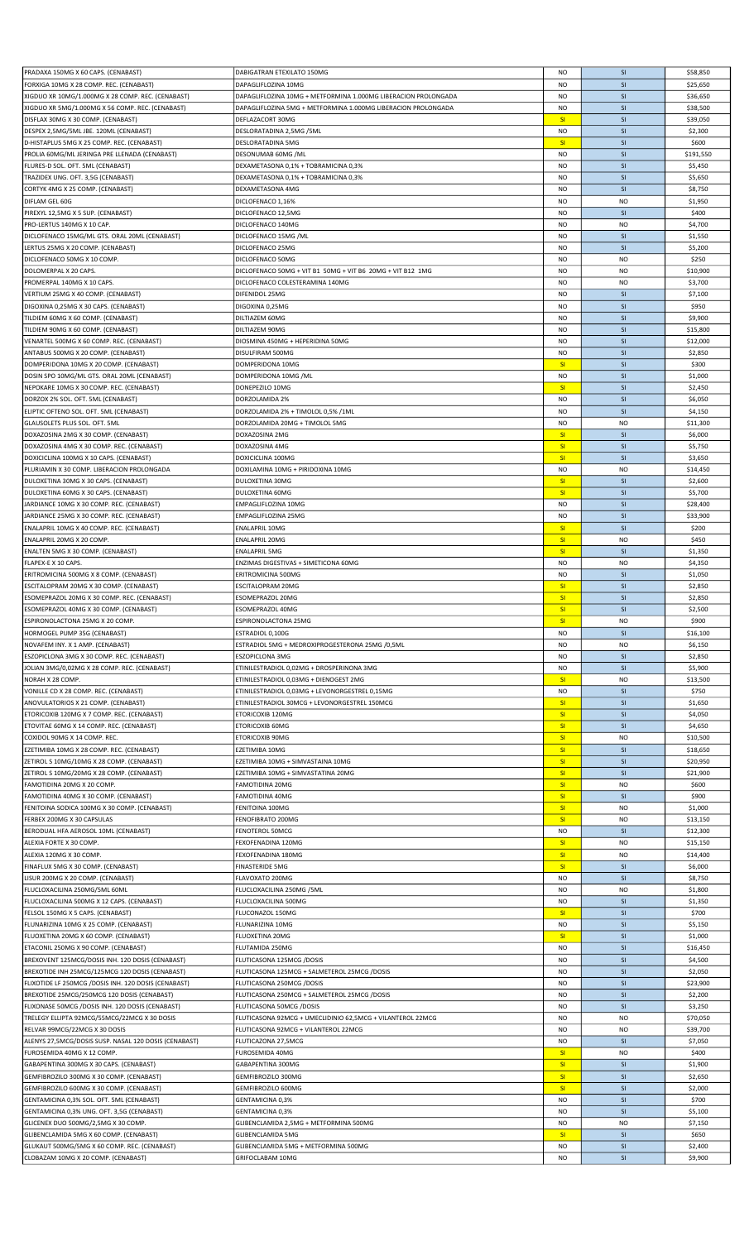|                                                       |                                                                | <b>NO</b> | <b>SI</b>      |           |
|-------------------------------------------------------|----------------------------------------------------------------|-----------|----------------|-----------|
| PRADAXA 150MG X 60 CAPS. (CENABAST)                   | DABIGATRAN ETEXILATO 150MG                                     |           |                | \$58,850  |
| FORXIGA 10MG X 28 COMP. REC. (CENABAST)               | DAPAGLIFLOZINA 10MG                                            | <b>NO</b> | SI             | \$25,650  |
| XIGDUO XR 10MG/1.000MG X 28 COMP. REC. (CENABAST)     | DAPAGLIFLOZINA 10MG + METFORMINA 1.000MG LIBERACION PROLONGADA | <b>NO</b> | SI             | \$36,650  |
| XIGDUO XR 5MG/1.000MG X 56 COMP. REC. (CENABAST)      | DAPAGLIFLOZINA 5MG + METFORMINA 1.000MG LIBERACION PROLONGADA  | <b>NO</b> | SI             | \$38,500  |
|                                                       |                                                                |           |                |           |
| DISFLAX 30MG X 30 COMP. (CENABAST)                    | DEFLAZACORT 30MG                                               | SI        | SI             | \$39,050  |
| DESPEX 2,5MG/5ML JBE. 120ML (CENABAST)                | DESLORATADINA 2,5MG /5ML                                       | <b>NO</b> | SI             | \$2,300   |
| D-HISTAPLUS 5MG X 25 COMP. REC. (CENABAST)            | DESLORATADINA 5MG                                              | SI        | SI             | \$600     |
|                                                       |                                                                |           |                |           |
| PROLIA 60MG/ML JERINGA PRE LLENADA (CENABAST)         | DESONUMAB 60MG /ML                                             | NO        | SI             | \$191,550 |
| FLURES-D SOL. OFT. 5ML (CENABAST)                     | DEXAMETASONA 0,1% + TOBRAMICINA 0,3%                           | <b>NO</b> | SI             | \$5,450   |
| TRAZIDEX UNG. OFT. 3,5G (CENABAST)                    | DEXAMETASONA 0,1% + TOBRAMICINA 0,3%                           | <b>NO</b> | SI             | \$5,650   |
|                                                       |                                                                |           |                |           |
| CORTYK 4MG X 25 COMP. (CENABAST)                      | DEXAMETASONA 4MG                                               | <b>NO</b> | SI             | \$8,750   |
| DIFLAM GEL 60G                                        | DICLOFENACO 1,16%                                              | <b>NO</b> | <b>NO</b>      | \$1,950   |
|                                                       |                                                                |           |                |           |
| PIREXYL 12,5MG X 5 SUP. (CENABAST)                    | DICLOFENACO 12,5MG                                             | <b>NO</b> | SI             | \$400     |
| PRO-LERTUS 140MG X 10 CAP.                            | DICLOFENACO 140MG                                              | <b>NO</b> | <b>NO</b>      | \$4,700   |
| DICLOFENACO 15MG/ML GTS. ORAL 20ML (CENABAST)         | DICLOFENACO 15MG / ML                                          | <b>NO</b> | SI             | \$1,550   |
|                                                       |                                                                |           |                |           |
| LERTUS 25MG X 20 COMP. (CENABAST)                     | DICLOFENACO 25MG                                               | <b>NO</b> | SI             | \$5,200   |
| DICLOFENACO 50MG X 10 COMP.                           | DICLOFENACO 50MG                                               | <b>NO</b> | N <sub>O</sub> | \$250     |
| DOLOMERPAL X 20 CAPS.                                 | DICLOFENACO 50MG + VIT B1 50MG + VIT B6 20MG + VIT B12 1MG     | NO        | <b>NO</b>      | \$10,900  |
|                                                       |                                                                |           |                |           |
| PROMERPAL 140MG X 10 CAPS.                            | DICLOFENACO COLESTERAMINA 140MG                                | <b>NO</b> | <b>NO</b>      | \$3,700   |
| VERTIUM 25MG X 40 COMP. (CENABAST)                    | DIFENIDOL 25MG                                                 | <b>NO</b> | SI             | \$7,100   |
| DIGOXINA 0,25MG X 30 CAPS. (CENABAST)                 | DIGOXINA 0,25MG                                                | <b>NO</b> | SI             | \$950     |
|                                                       |                                                                |           |                |           |
| TILDIEM 60MG X 60 COMP. (CENABAST)                    | DILTIAZEM 60MG                                                 | <b>NO</b> | SI             | \$9,900   |
| TILDIEM 90MG X 60 COMP. (CENABAST)                    | DILTIAZEM 90MG                                                 | <b>NO</b> | SI             | \$15,800  |
| VENARTEL 500MG X 60 COMP. REC. (CENABAST)             | DIOSMINA 450MG + HEPERIDINA 50MG                               | <b>NO</b> | SI             | \$12,000  |
|                                                       |                                                                |           |                |           |
| ANTABUS 500MG X 20 COMP. (CENABAST)                   | DISULFIRAM 500MG                                               | <b>NO</b> | SI             | \$2,850   |
| DOMPERIDONA 10MG X 20 COMP. (CENABAST)                | DOMPERIDONA 10MG                                               | SI        | SI             | \$300     |
|                                                       |                                                                |           |                |           |
| DOSIN SPO 10MG/ML GTS. ORAL 20ML (CENABAST)           | DOMPERIDONA 10MG /ML                                           | <b>NO</b> | SI             | \$1,000   |
| NEPOKARE 10MG X 30 COMP. REC. (CENABAST)              | DONEPEZILO 10MG                                                | SI        | SI             | \$2,450   |
| DORZOX 2% SOL. OFT. 5ML (CENABAST)                    | DORZOLAMIDA 2%                                                 | <b>NO</b> | SI             | \$6,050   |
|                                                       |                                                                |           |                |           |
| ELIPTIC OFTENO SOL. OFT. 5ML (CENABAST)               | DORZOLAMIDA 2% + TIMOLOL 0,5% /1ML                             | <b>NO</b> | SI             | \$4,150   |
| GLAUSOLETS PLUS SOL. OFT. 5ML                         | DORZOLAMIDA 20MG + TIMOLOL 5MG                                 | <b>NO</b> | <b>NO</b>      | \$11,300  |
|                                                       |                                                                |           |                |           |
| DOXAZOSINA 2MG X 30 COMP. (CENABAST)                  | DOXAZOSINA 2MG                                                 | SI        | <b>SI</b>      | \$6,000   |
| DOXAZOSINA 4MG X 30 COMP. REC. (CENABAST)             | DOXAZOSINA 4MG                                                 | SI        | SI             | \$5,750   |
| DOXICICLINA 100MG X 10 CAPS. (CENABAST)               | DOXICICLINA 100MG                                              | SI        | <b>SI</b>      | \$3,650   |
|                                                       |                                                                |           |                |           |
| PLURIAMIN X 30 COMP. LIBERACION PROLONGADA            | DOXILAMINA 10MG + PIRIDOXINA 10MG                              | <b>NO</b> | <b>NO</b>      | \$14,450  |
| DULOXETINA 30MG X 30 CAPS. (CENABAST)                 | <b>DULOXETINA 30MG</b>                                         | SI        | SI             | \$2,600   |
| DULOXETINA 60MG X 30 CAPS. (CENABAST)                 | DULOXETINA 60MG                                                | SI        | <b>SI</b>      | \$5,700   |
|                                                       |                                                                |           |                |           |
| JARDIANCE 10MG X 30 COMP. REC. (CENABAST)             | EMPAGLIFLOZINA 10MG                                            | <b>NO</b> | <b>SI</b>      | \$28,400  |
| JARDIANCE 25MG X 30 COMP. REC. (CENABAST)             | EMPAGLIFLOZINA 25MG                                            | <b>NO</b> | SI             | \$33,900  |
|                                                       | <b>ENALAPRIL 10MG</b>                                          | SI        | SI             | \$200     |
| ENALAPRIL 10MG X 40 COMP. REC. (CENABAST)             |                                                                |           |                |           |
| ENALAPRIL 20MG X 20 COMP.                             | <b>ENALAPRIL 20MG</b>                                          | SI        | <b>NO</b>      | \$450     |
| ENALTEN 5MG X 30 COMP. (CENABAST)                     | <b>ENALAPRIL 5MG</b>                                           | SI        | <b>SI</b>      | \$1,350   |
|                                                       |                                                                |           |                |           |
| FLAPEX-E X 10 CAPS.                                   | ENZIMAS DIGESTIVAS + SIMETICONA 60MG                           | NO        | <b>NO</b>      | \$4,350   |
| ERITROMICINA 500MG X 8 COMP. (CENABAST)               | ERITROMICINA 500MG                                             | <b>NO</b> | SI             | \$1,050   |
| ESCITALOPRAM 20MG X 30 COMP. (CENABAST)               | <b>ESCITALOPRAM 20MG</b>                                       | SI        | SI             | \$2,850   |
|                                                       |                                                                |           |                |           |
| ESOMEPRAZOL 20MG X 30 COMP. REC. (CENABAST)           | ESOMEPRAZOL 20MG                                               | SI        | SI             | \$2,850   |
| ESOMEPRAZOL 40MG X 30 COMP. (CENABAST)                | ESOMEPRAZOL 40MG                                               | SI        | SI             | \$2,500   |
|                                                       |                                                                |           |                |           |
|                                                       |                                                                |           |                |           |
| ESPIRONOLACTONA 25MG X 20 COMP.                       | ESPIRONOLACTONA 25MG                                           | SI        | <b>NO</b>      | \$900     |
| HORMOGEL PUMP 35G (CENABAST)                          | ESTRADIOL 0,100G                                               | <b>NO</b> | <b>SI</b>      | \$16,100  |
| NOVAFEM INY. X 1 AMP. (CENABAST)                      | ESTRADIOL 5MG + MEDROXIPROGESTERONA 25MG /0,5ML                | <b>NO</b> | <b>NO</b>      | \$6,150   |
|                                                       |                                                                |           |                |           |
| ESZOPICLONA 3MG X 30 COMP. REC. (CENABAST)            | ESZOPICLONA 3MG                                                | <b>NO</b> | <b>SI</b>      | \$2,850   |
| <b>JOLIAN 3MG/0,02MG X 28 COMP. REC. (CENABAST)</b>   | ETINILESTRADIOL 0,02MG + DROSPERINONA 3MG                      | <b>NO</b> | SI             | \$5,900   |
| NORAH X 28 COMP.                                      | ETINILESTRADIOL 0,03MG + DIENOGEST 2MG                         | SI        | <b>NO</b>      | \$13,500  |
|                                                       |                                                                |           |                |           |
| VONILLE CD X 28 COMP. REC. (CENABAST)                 | ETINILESTRADIOL 0,03MG + LEVONORGESTREL 0,15MG                 | <b>NO</b> | <b>SI</b>      | \$750     |
| ANOVULATORIOS X 21 COMP. (CENABAST)                   | ETINILESTRADIOL 30MCG + LEVONORGESTREL 150MCG                  | SI        | SI             | \$1,650   |
| ETORICOXIB 120MG X 7 COMP. REC. (CENABAST)            | ETORICOXIB 120MG                                               | SI        | <b>SI</b>      |           |
|                                                       |                                                                |           |                | \$4,050   |
| ETOVITAE 60MG X 14 COMP. REC. (CENABAST)              | ETORICOXIB 60MG                                                | SI        | <b>SI</b>      | \$4,650   |
| COXIDOL 90MG X 14 COMP. REC.                          | ETORICOXIB 90MG                                                | SI        | <b>NO</b>      | \$10,500  |
| EZETIMIBA 10MG X 28 COMP. REC. (CENABAST)             | EZETIMIBA 10MG                                                 | SI        | SI             | \$18,650  |
|                                                       |                                                                |           |                |           |
| ZETIROL S 10MG/10MG X 28 COMP. (CENABAST)             | EZETIMIBA 10MG + SIMVASTAINA 10MG                              | SI        | <b>SI</b>      | \$20,950  |
| ZETIROL S 10MG/20MG X 28 COMP. (CENABAST)             | EZETIMIBA 10MG + SIMVASTATINA 20MG                             | SI        | SI             | \$21,900  |
|                                                       |                                                                |           |                |           |
| FAMOTIDINA 20MG X 20 COMP.                            | <b>FAMOTIDINA 20MG</b>                                         | SI        | <b>NO</b>      | \$600     |
| FAMOTIDINA 40MG X 30 COMP. (CENABAST)                 | <b>FAMOTIDINA 40MG</b>                                         | SI        | <b>SI</b>      | \$900     |
| FENITOINA SODICA 100MG X 30 COMP. (CENABAST)          | FENITOINA 100MG                                                | SI        | <b>NO</b>      | \$1,000   |
|                                                       |                                                                |           |                |           |
| FERBEX 200MG X 30 CAPSULAS                            | FENOFIBRATO 200MG                                              | SI        | <b>NO</b>      | \$13,150  |
| BERODUAL HFA AEROSOL 10ML (CENABAST)                  | FENOTEROL 50MCG                                                | <b>NO</b> | SI             | \$12,300  |
| ALEXIA FORTE X 30 COMP.                               | FEXOFENADINA 120MG                                             | SI        | N <sub>O</sub> | \$15,150  |
|                                                       |                                                                |           |                |           |
| ALEXIA 120MG X 30 COMP.                               | FEXOFENADINA 180MG                                             | SI        | <b>NO</b>      | \$14,400  |
| FINAFLUX 5MG X 30 COMP. (CENABAST)                    | <b>FINASTERIDE 5MG</b>                                         | SI        | SI             | \$6,000   |
| LISUR 200MG X 20 COMP. (CENABAST)                     | FLAVOXATO 200MG                                                | <b>NO</b> | <b>SI</b>      | \$8,750   |
|                                                       |                                                                |           |                |           |
| FLUCLOXACILINA 250MG/5ML 60ML                         | FLUCLOXACILINA 250MG / 5ML                                     | <b>NO</b> | <b>NO</b>      | \$1,800   |
| FLUCLOXACILINA 500MG X 12 CAPS. (CENABAST)            | FLUCLOXACILINA 500MG                                           | <b>NO</b> | <b>SI</b>      | \$1,350   |
| FELSOL 150MG X 5 CAPS. (CENABAST)                     | FLUCONAZOL 150MG                                               | SI        | <b>SI</b>      | \$700     |
|                                                       |                                                                |           |                |           |
| FLUNARIZINA 10MG X 25 COMP. (CENABAST)                | FLUNARIZINA 10MG                                               | NO        | SI             | \$5,150   |
| FLUOXETINA 20MG X 60 COMP. (CENABAST)                 | FLUOXETINA 20MG                                                | SI        | SI             | \$1,000   |
| ETACONIL 250MG X 90 COMP. (CENABAST)                  | FLUTAMIDA 250MG                                                | <b>NO</b> | SI             | \$16,450  |
|                                                       |                                                                |           |                |           |
| BREXOVENT 125MCG/DOSIS INH. 120 DOSIS (CENABAST)      | FLUTICASONA 125MCG /DOSIS                                      | <b>NO</b> | SI             | \$4,500   |
| BREXOTIDE INH 25MCG/125MCG 120 DOSIS (CENABAST)       | FLUTICASONA 125MCG + SALMETEROL 25MCG /DOSIS                   | <b>NO</b> | SI             | \$2,050   |
| FLIXOTIDE LF 250MCG /DOSIS INH. 120 DOSIS (CENABAST)  | FLUTICASONA 250MCG /DOSIS                                      | <b>NO</b> | <b>SI</b>      | \$23,900  |
|                                                       |                                                                |           |                |           |
| BREXOTIDE 25MCG/250MCG 120 DOSIS (CENABAST)           | FLUTICASONA 250MCG + SALMETEROL 25MCG /DOSIS                   | <b>NO</b> | SI             | \$2,200   |
| FLIXONASE 50MCG /DOSIS INH. 120 DOSIS (CENABAST)      | FLUTICASONA 50MCG /DOSIS                                       | NO        | SI             | \$3,250   |
| TRELEGY ELLIPTA 92MCG/55MCG/22MCG X 30 DOSIS          | FLUTICASONA 92MCG + UMECLIDINIO 62,5MCG + VILANTEROL 22MCG     | <b>NO</b> | <b>NO</b>      | \$70,050  |
|                                                       |                                                                |           |                |           |
| RELVAR 99MCG/22MCG X 30 DOSIS                         | FLUTICASONA 92MCG + VILANTEROL 22MCG                           | <b>NO</b> | N <sub>O</sub> | \$39,700  |
| ALENYS 27,5MCG/DOSIS SUSP. NASAL 120 DOSIS (CENABAST) | FLUTICAZONA 27,5MCG                                            | <b>NO</b> | <b>SI</b>      | \$7,050   |
| FUROSEMIDA 40MG X 12 COMP.                            | FUROSEMIDA 40MG                                                | <b>SI</b> | <b>NO</b>      | \$400     |
|                                                       |                                                                |           |                |           |
| GABAPENTINA 300MG X 30 CAPS. (CENABAST)               | GABAPENTINA 300MG                                              | SI        | SI             | \$1,900   |
| GEMFIBROZILO 300MG X 30 COMP. (CENABAST)              | GEMFIBROZILO 300MG                                             | SI        | <b>SI</b>      | \$2,650   |
|                                                       |                                                                |           |                |           |
| GEMFIBROZILO 600MG X 30 COMP. (CENABAST)              | GEMFIBROZILO 600MG                                             | SI        | <b>SI</b>      | \$2,000   |
| GENTAMICINA 0,3% SOL. OFT. 5ML (CENABAST)             | GENTAMICINA 0,3%                                               | NO        | SI             | \$700     |
| GENTAMICINA 0,3% UNG. OFT. 3,5G (CENABAST)            | GENTAMICINA 0,3%                                               | <b>NO</b> | SI             | \$5,100   |
|                                                       |                                                                |           |                |           |
| GLICENEX DUO 500MG/2,5MG X 30 COMP.                   | GLIBENCLAMIDA 2,5MG + METFORMINA 500MG                         | <b>NO</b> | <b>NO</b>      | \$7,150   |
| GLIBENCLAMIDA 5MG X 60 COMP. (CENABAST)               | <b>GLIBENCLAMIDA 5MG</b>                                       | SI        | <b>SI</b>      | \$650     |
| GLUKAUT 500MG/5MG X 60 COMP. REC. (CENABAST)          | GLIBENCLAMIDA 5MG + METFORMINA 500MG                           | NO        | <b>SI</b>      | \$2,400   |
| CLOBAZAM 10MG X 20 COMP. (CENABAST)                   | GRIFOCLABAM 10MG                                               | <b>NO</b> | SI             | \$9,900   |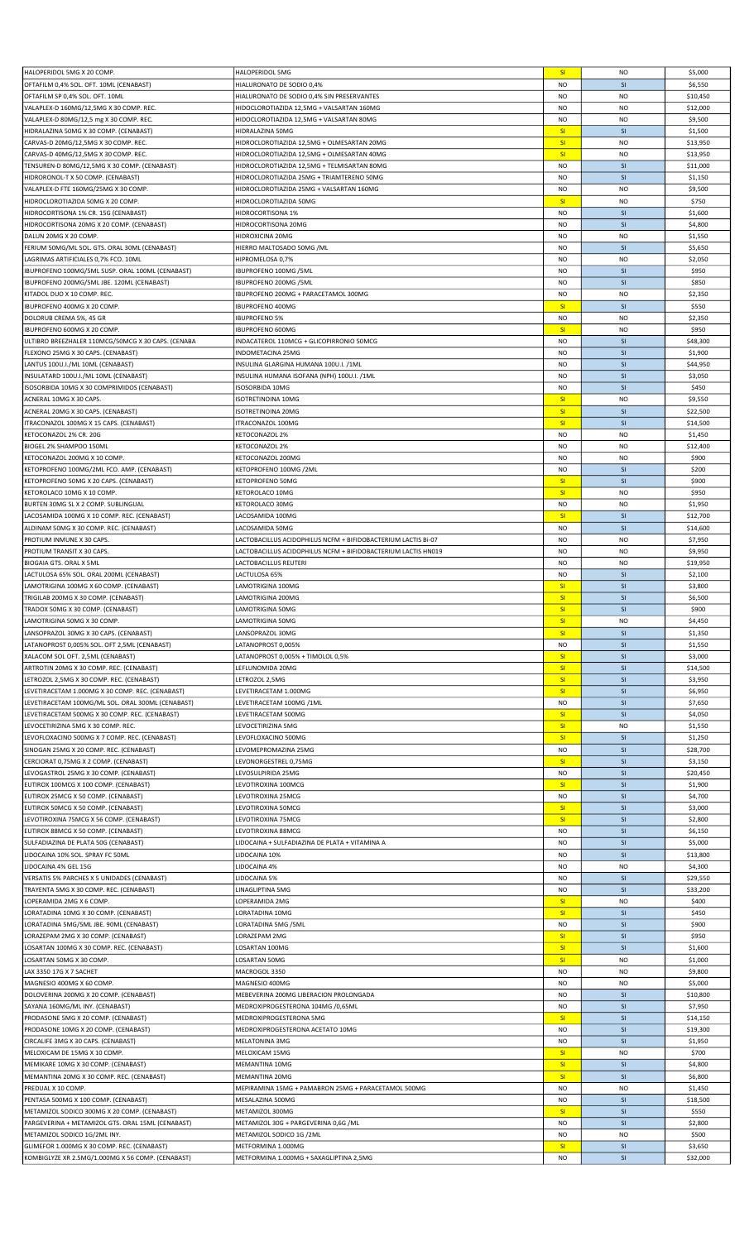| HALOPERIDOL 5MG X 20 COMP.                         | HALOPERIDOL 5MG                                               | SI        | <b>NO</b>      | \$5,000  |
|----------------------------------------------------|---------------------------------------------------------------|-----------|----------------|----------|
| OFTAFILM 0,4% SOL. OFT. 10ML (CENABAST)            | HIALURONATO DE SODIO 0,4%                                     | <b>NO</b> | SI             | \$6,550  |
| OFTAFILM SP 0,4% SOL. OFT. 10ML                    | HIALURONATO DE SODIO 0,4% SIN PRESERVANTES                    | <b>NO</b> | <b>NO</b>      | \$10,450 |
|                                                    |                                                               |           |                |          |
| VALAPLEX-D 160MG/12,5MG X 30 COMP. REC.            | HIDOCLOROTIAZIDA 12,5MG + VALSARTAN 160MG                     | NO.       | <b>NO</b>      | \$12,000 |
| VALAPLEX-D 80MG/12,5 mg X 30 COMP. REC.            | HIDOCLOROTIAZIDA 12,5MG + VALSARTAN 80MG                      | <b>NO</b> | <b>NO</b>      | \$9,500  |
| HIDRALAZINA 50MG X 30 COMP. (CENABAST)             | HIDRALAZINA 50MG                                              | SI        | SI             | \$1,500  |
|                                                    |                                                               |           |                |          |
| CARVAS-D 20MG/12,5MG X 30 COMP. REC.               | HIDROCLOROTIAZIDA 12,5MG + OLMESARTAN 20MG                    | SI        | <b>NO</b>      | \$13,950 |
| CARVAS-D 40MG/12,5MG X 30 COMP. REC                | HIDROCLOROTIAZIDA 12,5MG + OLMESARTAN 40MG                    | SI        | <b>NO</b>      | \$13,950 |
| TENSUREN-D 80MG/12,5MG X 30 COMP. (CENABAST)       | HIDROCLOROTIAZIDA 12,5MG + TELMISARTAN 80MG                   | <b>NO</b> | SI             | \$11,000 |
|                                                    |                                                               |           |                |          |
| HIDRORONOL-T X 50 COMP. (CENABAST)                 | HIDROCLOROTIAZIDA 25MG + TRIAMTERENO 50MG                     | <b>NO</b> | SI             | \$1,150  |
| VALAPLEX-D FTE 160MG/25MG X 30 COMP.               | HIDROCLOROTIAZIDA 25MG + VALSARTAN 160MG                      | <b>NO</b> | <b>NO</b>      | \$9,500  |
| HIDROCLOROTIAZIDA 50MG X 20 COMP.                  | HIDROCLOROTIAZIDA 50MG                                        | SI        | <b>NO</b>      | \$750    |
|                                                    |                                                               |           |                |          |
| HIDROCORTISONA 1% CR. 15G (CENABAST)               | HIDROCORTISONA 1%                                             | <b>NO</b> | SI             | \$1,600  |
| HIDROCORTISONA 20MG X 20 COMP. (CENABAST)          | HIDROCORTISONA 20MG                                           | NO        | SI             | \$4,800  |
| DALUN 20MG X 20 COMP.                              | HIDROXICINA 20MG                                              | <b>NO</b> | <b>NO</b>      | \$1,550  |
|                                                    |                                                               |           |                |          |
| FERIUM 50MG/ML SOL. GTS. ORAL 30ML (CENABAST)      | HIERRO MALTOSADO 50MG /ML                                     | <b>NO</b> | SI             | \$5,650  |
| LAGRIMAS ARTIFICIALES 0,7% FCO. 10ML               | HIPROMELOSA 0,7%                                              | <b>NO</b> | <b>NO</b>      | \$2,050  |
| IBUPROFENO 100MG/5ML SUSP. ORAL 100ML (CENABAST)   | IBUPROFENO 100MG / 5ML                                        | <b>NO</b> | SI             | \$950    |
|                                                    |                                                               |           |                |          |
| IBUPROFENO 200MG/5ML JBE. 120ML (CENABAST)         | IBUPROFENO 200MG / 5ML                                        | <b>NO</b> | SI             | \$850    |
| KITADOL DUO X 10 COMP. REC.                        | IBUPROFENO 200MG + PARACETAMOL 300MG                          | <b>NO</b> | <b>NO</b>      | \$2,350  |
| IBUPROFENO 400MG X 20 COMP.                        | <b>IBUPROFENO 400MG</b>                                       | SI        | SI             | \$550    |
|                                                    |                                                               |           |                |          |
| DOLORUB CREMA 5%, 45 GR                            | <b>IBUPROFENO 5%</b>                                          | <b>NO</b> | <b>NO</b>      | \$2,350  |
| IBUPROFENO 600MG X 20 COMP.                        | <b>IBUPROFENO 600MG</b>                                       | SI        | <b>NO</b>      | \$950    |
| ULTIBRO BREEZHALER 110MCG/50MCG X 30 CAPS. (CENABA | INDACATEROL 110MCG + GLICOPIRRONIO 50MCG                      | <b>NO</b> | SI             | \$48,300 |
|                                                    |                                                               |           |                |          |
| FLEXONO 25MG X 30 CAPS. (CENABAST)                 | <b>INDOMETACINA 25MG</b>                                      | <b>NO</b> | SI             | \$1,900  |
| LANTUS 100U.I./ML 10ML (CENABAST)                  | INSULINA GLARGINA HUMANA 100U.I. /1ML                         | NO        | SI             | \$44,950 |
| INSULATARD 100U.I./ML 10ML (CENABAST)              | INSULINA HUMANA ISOFANA (NPH) 100U.I. /1ML                    | <b>NO</b> | SI             | \$3,050  |
|                                                    |                                                               |           |                |          |
| SOSORBIDA 10MG X 30 COMPRIMIDOS (CENABAST)         | <b>ISOSORBIDA 10MG</b>                                        | NO        | SI             | \$450    |
| ACNERAL 10MG X 30 CAPS.                            | ISOTRETINOINA 10MG                                            | SI        | <b>NO</b>      | \$9,550  |
|                                                    | <b>ISOTRETINOINA 20MG</b>                                     | SI        | SI             |          |
| ACNERAL 20MG X 30 CAPS. (CENABAST)                 |                                                               |           |                | \$22,500 |
| ITRACONAZOL 100MG X 15 CAPS. (CENABAST)            | ITRACONAZOL 100MG                                             | SI        | <b>SI</b>      | \$14,500 |
| KETOCONAZOL 2% CR. 20G                             | KETOCONAZOL 2%                                                | NO        | <b>NO</b>      | \$1,450  |
|                                                    |                                                               |           |                |          |
| BIOGEL 2% SHAMPOO 150ML                            | KETOCONAZOL 2%                                                | <b>NO</b> | <b>NO</b>      | \$12,400 |
| KETOCONAZOL 200MG X 10 COMP.                       | KETOCONAZOL 200MG                                             | <b>NO</b> | <b>NO</b>      | \$900    |
| KETOPROFENO 100MG/2ML FCO. AMP. (CENABAST)         | KETOPROFENO 100MG /2ML                                        | <b>NO</b> | SI             | \$200    |
|                                                    |                                                               |           |                |          |
| KETOPROFENO 50MG X 20 CAPS. (CENABAST)             | <b>KETOPROFENO 50MG</b>                                       | SI        | SI             | \$900    |
| KETOROLACO 10MG X 10 COMP.                         | KETOROLACO 10MG                                               | SI        | <b>NO</b>      | \$950    |
| BURTEN 30MG SL X 2 COMP. SUBLINGUAL                | KETOROLACO 30MG                                               | <b>NO</b> | <b>NO</b>      | \$1,950  |
|                                                    |                                                               |           |                |          |
| LACOSAMIDA 100MG X 10 COMP. REC. (CENABAST)        | LACOSAMIDA 100MG                                              | SI        | SI             | \$12,700 |
| ALDINAM 50MG X 30 COMP. REC. (CENABAST)            | LACOSAMIDA 50MG                                               | <b>NO</b> | SI             | \$14,600 |
| PROTIUM INMUNE X 30 CAPS.                          | LACTOBACILLUS ACIDOPHILUS NCFM + BIFIDOBACTERIUM LACTIS Bi-07 | <b>NO</b> | N <sub>O</sub> | \$7,950  |
|                                                    |                                                               |           |                |          |
| PROTIUM TRANSIT X 30 CAPS.                         | LACTOBACILLUS ACIDOPHILUS NCFM + BIFIDOBACTERIUM LACTIS HN019 | <b>NO</b> | <b>NO</b>      | \$9,950  |
| BIOGAIA GTS. ORAL X 5ML                            | LACTOBACILLUS REUTERI                                         | <b>NO</b> | <b>NO</b>      | \$19,950 |
|                                                    |                                                               |           |                |          |
| LACTULOSA 65% SOL. ORAL 200ML (CENABAST)           | LACTULOSA 65%                                                 | <b>NO</b> | SI             | \$2,100  |
| LAMOTRIGINA 100MG X 60 COMP. (CENABAST)            | LAMOTRIGINA 100MG                                             | SI        | SI             | \$3,800  |
|                                                    |                                                               |           |                |          |
| TRIGILAB 200MG X 30 COMP. (CENABAST)               | LAMOTRIGINA 200MG                                             | SI        | SI             |          |
|                                                    |                                                               |           |                | \$6,500  |
| TRADOX 50MG X 30 COMP. (CENABAST)                  | LAMOTRIGINA 50MG                                              | SI        | SI             | \$900    |
| LAMOTRIGINA 50MG X 30 COMP.                        | LAMOTRIGINA 50MG                                              | SI        | NO             | \$4,450  |
| LANSOPRAZOL 30MG X 30 CAPS. (CENABAST)             | LANSOPRAZOL 30MG                                              | SI        | <b>SI</b>      | \$1,350  |
|                                                    |                                                               |           |                |          |
| LATANOPROST 0,005% SOL. OFT 2,5ML (CENABAST)       | LATANOPROST 0,005%                                            | <b>NO</b> | SI             | \$1,550  |
| XALACOM SOL OFT. 2,5ML (CENABAST)                  | LATANOPROST 0,005% + TIMOLOL 0,5%                             | SI        | SI             | \$3,000  |
| ARTROTIN 20MG X 30 COMP. REC. (CENABAST)           | LEFLUNOMIDA 20MG                                              | SI        | SI             | \$14,500 |
|                                                    |                                                               |           |                |          |
| LETROZOL 2,5MG X 30 COMP. REC. (CENABAST)          | LETROZOL 2,5MG                                                | SI        | SI             | \$3,950  |
| LEVETIRACETAM 1.000MG X 30 COMP. REC. (CENABAST)   | LEVETIRACETAM 1.000MG                                         | SI        | SI             | \$6,950  |
| LEVETIRACETAM 100MG/ML SOL. ORAL 300ML (CENABAST)  | LEVETIRACETAM 100MG /1ML                                      | <b>NO</b> | SI             | \$7,650  |
|                                                    |                                                               |           |                |          |
| LEVETIRACETAM 500MG X 30 COMP. REC. (CENABAST)     | LEVETIRACETAM 500MG                                           | SI        | <b>SI</b>      | \$4,050  |
| LEVOCETIRIZINA 5MG X 30 COMP. REC.                 | LEVOCETIRIZINA 5MG                                            | SI        | N <sub>O</sub> | \$1,550  |
| LEVOFLOXACINO 500MG X 7 COMP. REC. (CENABAST)      | LEVOFLOXACINO 500MG                                           | SI        | SI             | \$1,250  |
|                                                    |                                                               |           |                |          |
| SINOGAN 25MG X 20 COMP. REC. (CENABAST)            | LEVOMEPROMAZINA 25MG                                          | <b>NO</b> | SI             | \$28,700 |
| CERCIORAT 0,75MG X 2 COMP. (CENABAST)              | LEVONORGESTREL 0,75MG                                         | SI        | SI             | \$3,150  |
|                                                    |                                                               | <b>NO</b> | SI             |          |
| LEVOGASTROL 25MG X 30 COMP. (CENABAST)             | LEVOSULPIRIDA 25MG                                            |           |                | \$20,450 |
| EUTIROX 100MCG X 100 COMP. (CENABAST)              | LEVOTIROXINA 100MCG                                           | SI        | SI             | \$1,900  |
| EUTIROX 25MCG X 50 COMP. (CENABAST)                | LEVOTIROXINA 25MCG                                            | <b>NO</b> | SI             | \$4,700  |
|                                                    |                                                               | SI        | SI             |          |
| EUTIROX 50MCG X 50 COMP. (CENABAST)                | LEVOTIROXINA 50MCG                                            |           |                | \$3,000  |
| LEVOTIROXINA 75MCG X 56 COMP. (CENABAST)           | LEVOTIROXINA 75MCG                                            | SI        | SI             | \$2,800  |
| EUTIROX 88MCG X 50 COMP. (CENABAST)                | LEVOTIROXINA 88MCG                                            | <b>NO</b> | SI             | \$6,150  |
|                                                    |                                                               |           |                |          |
| SULFADIAZINA DE PLATA 50G (CENABAST)               | LIDOCAINA + SULFADIAZINA DE PLATA + VITAMINA A                | NO        | SI             | \$5,000  |
| LIDOCAINA 10% SOL. SPRAY FC 50ML                   | LIDOCAINA 10%                                                 | <b>NO</b> | <b>SI</b>      | \$13,800 |
| LIDOCAINA 4% GEL 15G                               | LIDOCAINA 4%                                                  | <b>NO</b> | N <sub>O</sub> | \$4,300  |
| VERSATIS 5% PARCHES X 5 UNIDADES (CENABAST)        | LIDOCAINA 5%                                                  | <b>NO</b> | SI             | \$29,550 |
|                                                    |                                                               |           |                |          |
| TRAYENTA 5MG X 30 COMP. REC. (CENABAST)            | LINAGLIPTINA 5MG                                              | <b>NO</b> | SI             | \$33,200 |
| LOPERAMIDA 2MG X 6 COMP.                           | LOPERAMIDA 2MG                                                | SI        | <b>NO</b>      | \$400    |
|                                                    |                                                               |           |                |          |
| LORATADINA 10MG X 30 COMP. (CENABAST)              | LORATADINA 10MG                                               | SI        | SI             | \$450    |
| LORATADINA 5MG/5ML JBE. 90ML (CENABAST)            | LORATADINA 5MG /5ML                                           | <b>NO</b> | SI             | \$900    |
| LORAZEPAM 2MG X 30 COMP. (CENABAST)                | LORAZEPAM 2MG                                                 | SI        | SI             | \$950    |
|                                                    |                                                               |           | SI             |          |
| LOSARTAN 100MG X 30 COMP. REC. (CENABAST)          | LOSARTAN 100MG                                                | SI        |                | \$1,600  |
| LOSARTAN 50MG X 30 COMP.                           | LOSARTAN 50MG                                                 | SI        | <b>NO</b>      | \$1,000  |
| LAX 3350 17G X 7 SACHET                            | MACROGOL 3350                                                 | NO        | <b>NO</b>      | \$9,800  |
|                                                    |                                                               |           |                |          |
| MAGNESIO 400MG X 60 COMP.                          | MAGNESIO 400MG                                                | NO        | <b>NO</b>      | \$5,000  |
| DOLOVERINA 200MG X 20 COMP. (CENABAST)             | MEBEVERINA 200MG LIBERACION PROLONGADA                        | NO        | <b>SI</b>      | \$10,800 |
| SAYANA 160MG/ML INY. (CENABAST)                    | MEDROXIPROGESTERONA 104MG /0,65ML                             | <b>NO</b> | SI             | \$7,950  |
|                                                    |                                                               |           |                |          |
| PRODASONE 5MG X 20 COMP. (CENABAST)                | MEDROXIPROGESTERONA 5MG                                       | SI        | SI             | \$14,150 |
| PRODASONE 10MG X 20 COMP. (CENABAST)               | MEDROXIPROGESTERONA ACETATO 10MG                              | <b>NO</b> | SI             | \$19,300 |
| CIRCALIFE 3MG X 30 CAPS. (CENABAST)                | <b>MELATONINA 3MG</b>                                         | <b>NO</b> | SI             | \$1,950  |
|                                                    |                                                               |           |                |          |
| MELOXICAM DE 15MG X 10 COMP.                       | MELOXICAM 15MG                                                | SI        | <b>NO</b>      | \$700    |
| MEMIKARE 10MG X 30 COMP. (CENABAST)                | MEMANTINA 10MG                                                | SI        | SI             | \$4,800  |
| MEMANTINA 20MG X 30 COMP. REC. (CENABAST)          | <b>MEMANTINA 20MG</b>                                         | SI        | SI             | \$6,800  |
|                                                    |                                                               |           |                |          |
| PREDUAL X 10 COMP.                                 | MEPIRAMINA 15MG + PAMABRON 25MG + PARACETAMOL 500MG           | <b>NO</b> | N <sub>O</sub> | \$1,450  |
| PENTASA 500MG X 100 COMP. (CENABAST)               | MESALAZINA 500MG                                              | NO        | SI             | \$18,500 |
|                                                    | METAMIZOL 300MG                                               | SI        | SI             | \$550    |
| METAMIZOL SODICO 300MG X 20 COMP. (CENABAST)       |                                                               |           |                |          |
| PARGEVERINA + METAMIZOL GTS. ORAL 15ML (CENABAST)  | METAMIZOL 30G + PARGEVERINA 0,6G /ML                          | <b>NO</b> | SI             | \$2,800  |
| METAMIZOL SODICO 1G/2ML INY.                       | METAMIZOL SODICO 1G /2ML                                      | NO.       | <b>NO</b>      | \$500    |
| GLIMEFOR 1.000MG X 30 COMP. REC. (CENABAST)        | METFORMINA 1.000MG                                            | SI        | SI             | \$3,650  |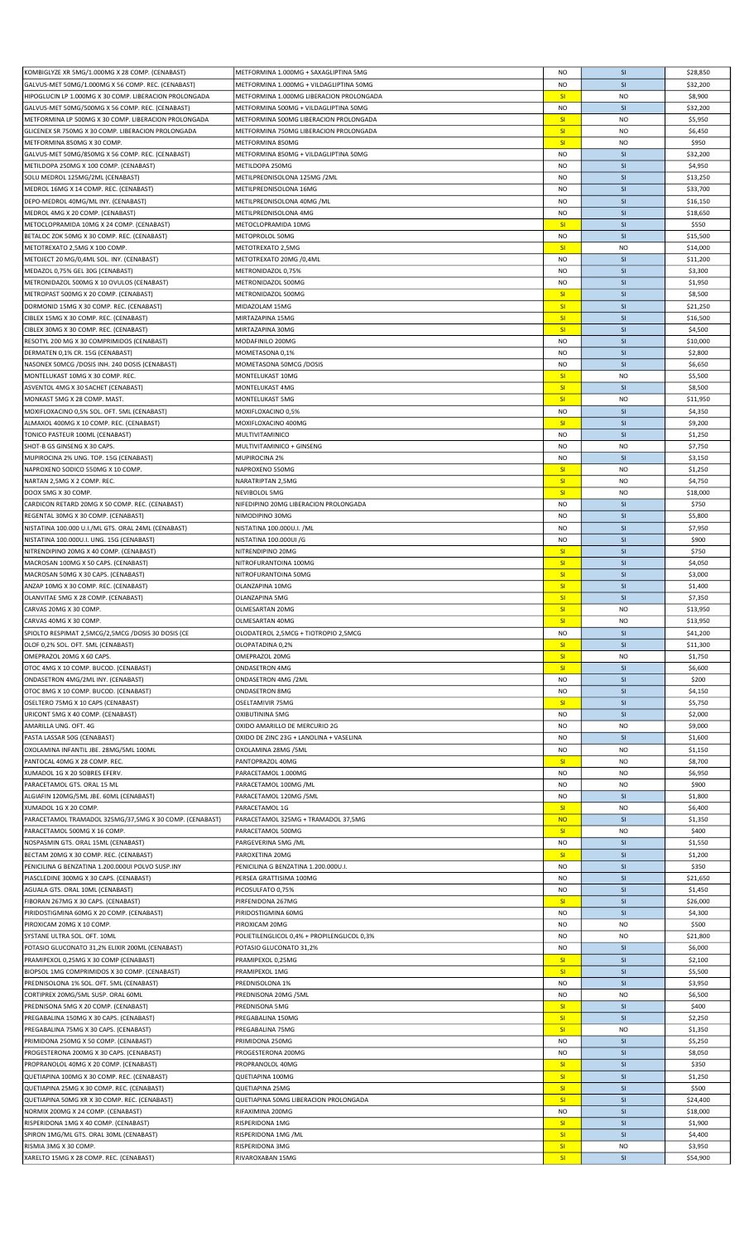| KOMBIGLYZE XR 5MG/1.000MG X 28 COMP. (CENABAST)         | METFORMINA 1.000MG + SAXAGLIPTINA 5MG       | <b>NO</b> | <b>SI</b>      | \$28,850 |
|---------------------------------------------------------|---------------------------------------------|-----------|----------------|----------|
| GALVUS-MET 50MG/1.000MG X 56 COMP. REC. (CENABAST)      | METFORMINA 1.000MG + VILDAGLIPTINA 50MG     | <b>NO</b> | SI             | \$32,200 |
| HIPOGLUCIN LP 1.000MG X 30 COMP. LIBERACION PROLONGADA  | METFORMINA 1.000MG LIBERACION PROLONGADA    | SI        | <b>NO</b>      | \$8,900  |
|                                                         |                                             |           |                |          |
| GALVUS-MET 50MG/500MG X 56 COMP. REC. (CENABAST)        | METFORMINA 500MG + VILDAGLIPTINA 50MG       | <b>NO</b> | <b>SI</b>      | \$32,200 |
| METFORMINA LP 500MG X 30 COMP. LIBERACION PROLONGADA    | METFORMINA 500MG LIBERACION PROLONGADA      | SI        | <b>NO</b>      | \$5,950  |
| GLICENEX SR 750MG X 30 COMP. LIBERACION PROLONGADA      | METFORMINA 750MG LIBERACION PROLONGADA      | SI        | <b>NO</b>      | \$6,450  |
| METFORMINA 850MG X 30 COMP.                             | METFORMINA 850MG                            | SI        | <b>NO</b>      | \$950    |
|                                                         | METFORMINA 850MG + VILDAGLIPTINA 50MG       |           |                |          |
| GALVUS-MET 50MG/850MG X 56 COMP. REC. (CENABAST)        |                                             | <b>NO</b> | SI             | \$32,200 |
| METILDOPA 250MG X 100 COMP. (CENABAST)                  | METILDOPA 250MG                             | NO        | SI             | \$4,950  |
| SOLU MEDROL 125MG/2ML (CENABAST)                        | METILPREDNISOLONA 125MG /2ML                | NO        | SI             | \$13,250 |
| MEDROL 16MG X 14 COMP. REC. (CENABAST)                  | METILPREDNISOLONA 16MG                      | <b>NO</b> | SI             | \$33,700 |
| DEPO-MEDROL 40MG/ML INY. (CENABAST)                     | METILPREDNISOLONA 40MG /ML                  | <b>NO</b> | SI             | \$16,150 |
|                                                         |                                             |           |                |          |
| MEDROL 4MG X 20 COMP. (CENABAST)                        | METILPREDNISOLONA 4MG                       | <b>NO</b> | SI             | \$18,650 |
| METOCLOPRAMIDA 10MG X 24 COMP. (CENABAST)               | METOCLOPRAMIDA 10MG                         | <b>SI</b> | SI             | \$550    |
| BETALOC ZOK 50MG X 30 COMP. REC. (CENABAST)             | METOPROLOL 50MG                             | <b>NO</b> | SI             | \$15,500 |
|                                                         |                                             |           |                |          |
| METOTREXATO 2,5MG X 100 COMP.                           | METOTREXATO 2,5MG                           | SI        | <b>NO</b>      | \$14,000 |
| METOJECT 20 MG/0,4ML SOL. INY. (CENABAST)               | METOTREXATO 20MG /0,4ML                     | <b>NO</b> | SI             | \$11,200 |
| MEDAZOL 0,75% GEL 30G (CENABAST)                        | METRONIDAZOL 0,75%                          | <b>NO</b> | <b>SI</b>      | \$3,300  |
| METRONIDAZOL 500MG X 10 OVULOS (CENABAST)               | METRONIDAZOL 500MG                          | <b>NO</b> | SI             | \$1,950  |
|                                                         |                                             |           |                |          |
| METROPAST 500MG X 20 COMP. (CENABAST)                   | METRONIDAZOL 500MG                          | SI        | SI             | \$8,500  |
| DORMONID 15MG X 30 COMP. REC. (CENABAST)                | MIDAZOLAM 15MG                              | SI        | SI             | \$21,250 |
| CIBLEX 15MG X 30 COMP. REC. (CENABAST)                  | MIRTAZAPINA 15MG                            | SI        | SI             | \$16,500 |
|                                                         |                                             |           |                |          |
| CIBLEX 30MG X 30 COMP. REC. (CENABAST)                  | MIRTAZAPINA 30MG                            | <b>SI</b> | SI             | \$4,500  |
| RESOTYL 200 MG X 30 COMPRIMIDOS (CENABAST)              | MODAFINILO 200MG                            | <b>NO</b> | SI             | \$10,000 |
| DERMATEN 0,1% CR. 15G (CENABAST)                        | MOMETASONA 0,1%                             | <b>NO</b> | SI             | \$2,800  |
| NASONEX 50MCG /DOSIS INH. 240 DOSIS (CENABAST)          | MOMETASONA 50MCG /DOSIS                     | <b>NO</b> | SI             | \$6,650  |
|                                                         |                                             |           |                |          |
| MONTELUKAST 10MG X 30 COMP. REC.                        | MONTELUKAST 10MG                            | SI        | <b>NO</b>      | \$5,500  |
| ASVENTOL 4MG X 30 SACHET (CENABAST)                     | MONTELUKAST 4MG                             | SI        | SI             | \$8,500  |
| MONKAST 5MG X 28 COMP. MAST.                            | MONTELUKAST 5MG                             | SI        | <b>NO</b>      | \$11,950 |
| MOXIFLOXACINO 0,5% SOL. OFT. 5ML (CENABAST)             | MOXIFLOXACINO 0,5%                          | <b>NO</b> | SI             | \$4,350  |
|                                                         |                                             |           |                |          |
| ALMAXOL 400MG X 10 COMP. REC. (CENABAST)                | MOXIFLOXACINO 400MG                         | SI        | SI             | \$9,200  |
| TONICO PASTEUR 100ML (CENABAST)                         | MULTIVITAMINICO                             | <b>NO</b> | SI             | \$1,250  |
| SHOT-B GS GINSENG X 30 CAPS.                            | MULTIVITAMINICO + GINSENG                   | <b>NO</b> | <b>NO</b>      | \$7,750  |
|                                                         |                                             |           |                |          |
| MUPIROCINA 2% UNG. TOP. 15G (CENABAST)                  | <b>MUPIROCINA 2%</b>                        | <b>NO</b> | SI             | \$3,150  |
| NAPROXENO SODICO 550MG X 10 COMP.                       | NAPROXENO 550MG                             | SI        | <b>NO</b>      | \$1,250  |
| NARTAN 2,5MG X 2 COMP. REC.                             | NARATRIPTAN 2,5MG                           | SI        | <b>NO</b>      | \$4,750  |
| DOOX 5MG X 30 COMP.                                     | NEVIBOLOL 5MG                               | SI        | N <sub>O</sub> | \$18,000 |
|                                                         |                                             |           |                |          |
| CARDICON RETARD 20MG X 50 COMP. REC. (CENABAST)         | NIFEDIPINO 20MG LIBERACION PROLONGADA       | NO        | SI             | \$750    |
| REGENTAL 30MG X 30 COMP. (CENABAST)                     | NIMODIPINO 30MG                             | <b>NO</b> | SI             | \$5,800  |
| NISTATINA 100.000 U.I./ML GTS. ORAL 24ML (CENABAST)     | NISTATINA 100.000U.I. /ML                   | NO        | SI             | \$7,950  |
|                                                         |                                             |           |                |          |
| NISTATINA 100.000U.I. UNG. 15G (CENABAST)               | NISTATINA 100.000UI /G                      | <b>NO</b> | SI             | \$900    |
| NITRENDIPINO 20MG X 40 COMP. (CENABAST)                 | NITRENDIPINO 20MG                           | SI        | SI             | \$750    |
| MACROSAN 100MG X 50 CAPS. (CENABAST)                    | NITROFURANTOINA 100MG                       | SI        | SI             | \$4,050  |
| MACROSAN 50MG X 30 CAPS. (CENABAST)                     | NITROFURANTOINA 50MG                        | SI        | SI             | \$3,000  |
|                                                         |                                             |           |                |          |
| ANZAP 10MG X 30 COMP. REC. (CENABAST)                   | OLANZAPINA 10MG                             | SI        | SI             | \$1,400  |
| OLANVITAE 5MG X 28 COMP. (CENABAST)                     | OLANZAPINA 5MG                              | SI        | SI             | \$7,350  |
| CARVAS 20MG X 30 COMP.                                  | OLMESARTAN 20MG                             | SI        | <b>NO</b>      | \$13,950 |
|                                                         |                                             |           |                |          |
| CARVAS 40MG X 30 COMP.                                  | OLMESARTAN 40MG                             | -SI       | NO             | \$13,950 |
| SPIOLTO RESPIMAT 2,5MCG/2,5MCG /DOSIS 30 DOSIS (CE      | OLODATEROL 2,5MCG + TIOTROPIO 2,5MCG        | <b>NO</b> | SI             | \$41,200 |
| OLOF 0,2% SOL. OFT. 5ML (CENABAST)                      | OLOPATADINA 0.2%                            | SI        | SI             | \$11,300 |
| OMEPRAZOL 20MG X 60 CAPS.                               | OMEPRAZOL 20MG                              | SI        | <b>NO</b>      | \$1,750  |
|                                                         |                                             |           |                |          |
| OTOC 4MG X 10 COMP. BUCOD. (CENABAST)                   | <b>ONDASETRON 4MG</b>                       | SI        | SI             | \$6,600  |
| ONDASETRON 4MG/2ML INY. (CENABAST)                      | ONDASETRON 4MG /2ML                         | <b>NO</b> | SI             | \$200    |
| OTOC 8MG X 10 COMP. BUCOD. (CENABAST)                   | <b>ONDASETRON 8MG</b>                       | NO        | SI             | \$4,150  |
| OSELTERO 75MG X 10 CAPS (CENABAST)                      | OSELTAMIVIR 75MG                            | SI        | SI             | \$5,750  |
|                                                         |                                             |           |                |          |
| URICONT 5MG X 40 COMP. (CENABAST)                       | <b>OXIBUTININA 5MG</b>                      | <b>NO</b> | SI             | \$2,000  |
| AMARILLA UNG. OFT. 4G                                   | OXIDO AMARILLO DE MERCURIO 2G               | <b>NO</b> | <b>NO</b>      | \$9,000  |
| PASTA LASSAR 50G (CENABAST)                             | OXIDO DE ZINC 23G + LANOLINA + VASELINA     | <b>NO</b> | SI             | \$1,600  |
|                                                         |                                             |           |                |          |
| OXOLAMINA INFANTIL JBE. 28MG/5ML 100ML                  | OXOLAMINA 28MG /5ML                         | <b>NO</b> | <b>NO</b>      | \$1,150  |
| PANTOCAL 40MG X 28 COMP. REC.                           | PANTOPRAZOL 40MG                            | SI        | <b>NO</b>      | \$8,700  |
| XUMADOL 1G X 20 SOBRES EFERV.                           | PARACETAMOL 1.000MG                         | <b>NO</b> | <b>NO</b>      | \$6,950  |
| PARACETAMOL GTS. ORAL 15 ML                             | PARACETAMOL 100MG /ML                       | <b>NO</b> | <b>NO</b>      | \$900    |
|                                                         |                                             |           |                |          |
| ALGIAFIN 120MG/5ML JBE. 60ML (CENABAST)                 | PARACETAMOL 120MG /5ML                      | <b>NO</b> | SI             | \$1,800  |
| XUMADOL 1G X 20 COMP.                                   | PARACETAMOL 1G                              | SI        | <b>NO</b>      | \$6,400  |
| PARACETAMOL TRAMADOL 325MG/37,5MG X 30 COMP. (CENABAST) | PARACETAMOL 325MG + TRAMADOL 37,5MG         | <b>NO</b> | SI             | \$1,350  |
| PARACETAMOL 500MG X 16 COMP.                            | PARACETAMOL 500MG                           | SI        | <b>NO</b>      | \$400    |
|                                                         |                                             |           |                |          |
| NOSPASMIN GTS. ORAL 15ML (CENABAST)                     | PARGEVERINA 5MG /ML                         | <b>NO</b> | SI             | \$1,550  |
| BECTAM 20MG X 30 COMP. REC. (CENABAST)                  | PAROXETINA 20MG                             | SI        | SI             | \$1,200  |
| PENICILINA G BENZATINA 1.200.000UI POLVO SUSP.INY       | PENICILINA G BENZATINA 1.200.000U.I.        | NO        | SI             | \$350    |
| PIASCLEDINE 300MG X 30 CAPS. (CENABAST)                 | PERSEA GRATTISIMA 100MG                     | <b>NO</b> | SI             | \$21,650 |
|                                                         |                                             |           |                |          |
| AGUALA GTS. ORAL 10ML (CENABAST)                        | PICOSULFATO 0,75%                           | <b>NO</b> | <b>SI</b>      | \$1,450  |
| FIBORAN 267MG X 30 CAPS. (CENABAST)                     | PIRFENIDONA 267MG                           | SI        | SI             | \$26,000 |
| PIRIDOSTIGMINA 60MG X 20 COMP. (CENABAST)               | PIRIDOSTIGMINA 60MG                         | <b>NO</b> | SI             | \$4,300  |
| PIROXICAM 20MG X 10 COMP.                               | PIROXICAM 20MG                              | <b>NO</b> | <b>NO</b>      | \$500    |
|                                                         |                                             |           |                |          |
| SYSTANE ULTRA SOL. OFT. 10ML                            | POLIETILENGLICOL 0,4% + PROPILENGLICOL 0,3% | <b>NO</b> | N <sub>O</sub> | \$21,800 |
| POTASIO GLUCONATO 31,2% ELIXIR 200ML (CENABAST)         | POTASIO GLUCONATO 31,2%                     | <b>NO</b> | SI             | \$6,000  |
| PRAMIPEXOL 0,25MG X 30 COMP (CENABAST)                  | PRAMIPEXOL 0,25MG                           | SI        | SI             | \$2,100  |
|                                                         |                                             |           |                |          |
| BIOPSOL 1MG COMPRIMIDOS X 30 COMP. (CENABAST)           | PRAMIPEXOL 1MG                              | SI        | SI             | \$5,500  |
| PREDNISOLONA 1% SOL. OFT. 5ML (CENABAST)                | PREDNISOLONA 1%                             | NO        | SI             | \$3,950  |
| CORTIPREX 20MG/5ML SUSP. ORAL 60ML                      | PREDNISONA 20MG / 5ML                       | <b>NO</b> | <b>NO</b>      | \$6,500  |
| PREDNISONA 5MG X 20 COMP. (CENABAST)                    | PREDNISONA 5MG                              | SI        | SI             | \$400    |
|                                                         |                                             |           |                |          |
| PREGABALINA 150MG X 30 CAPS. (CENABAST)                 | PREGABALINA 150MG                           | SI        | SI             | \$2,250  |
| PREGABALINA 75MG X 30 CAPS. (CENABAST)                  | PREGABALINA 75MG                            | SI        | <b>NO</b>      | \$1,350  |
| PRIMIDONA 250MG X 50 COMP. (CENABAST)                   | PRIMIDONA 250MG                             | <b>NO</b> | SI             | \$5,250  |
|                                                         |                                             |           | SI             |          |
| PROGESTERONA 200MG X 30 CAPS. (CENABAST)                | PROGESTERONA 200MG                          | <b>NO</b> |                | \$8,050  |
| PROPRANOLOL 40MG X 20 COMP. (CENABAST)                  | PROPRANOLOL 40MG                            | SI        | SI             | \$350    |
| QUETIAPINA 100MG X 30 COMP. REC. (CENABAST)             | QUETIAPINA 100MG                            | SI        | SI             | \$1,250  |
| QUETIAPINA 25MG X 30 COMP. REC. (CENABAST)              | QUETIAPINA 25MG                             | SI        | SI             | \$500    |
|                                                         |                                             |           |                |          |
| QUETIAPINA 50MG XR X 30 COMP. REC. (CENABAST)           | QUETIAPINA 50MG LIBERACION PROLONGADA       | <b>SI</b> | SI             | \$24,400 |
| NORMIX 200MG X 24 COMP. (CENABAST)                      | RIFAXIMINA 200MG                            | <b>NO</b> | SI             | \$18,000 |
| RISPERIDONA 1MG X 40 COMP. (CENABAST)                   | RISPERIDONA 1MG                             | SI        | SI             | \$1,900  |
| SPIRON 1MG/ML GTS. ORAL 30ML (CENABAST)                 | RISPERIDONA 1MG /ML                         | SI        | SI             | \$4,400  |
|                                                         |                                             |           |                |          |
| RISMIA 3MG X 30 COMP.                                   | RISPERIDONA 3MG                             | SI        | <b>NO</b>      | \$3,950  |
| XARELTO 15MG X 28 COMP. REC. (CENABAST)                 | RIVAROXABAN 15MG                            | SI        | SI             | \$54,900 |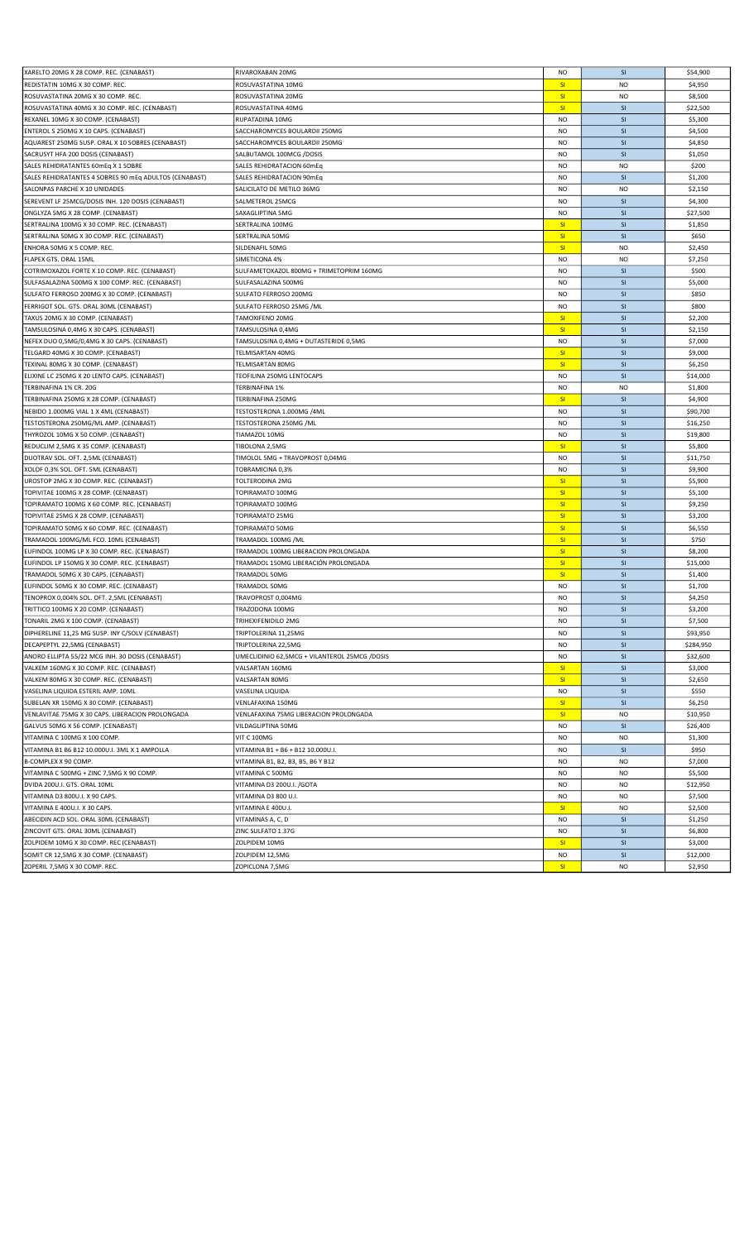| XARELTO 20MG X 28 COMP. REC. (CENABAST)                | RIVAROXABAN 20MG                              | <b>NO</b>       | <b>SI</b> | \$54,900  |
|--------------------------------------------------------|-----------------------------------------------|-----------------|-----------|-----------|
| REDISTATIN 10MG X 30 COMP. REC.                        | ROSUVASTATINA 10MG                            | SI              | <b>NO</b> | \$4,950   |
| ROSUVASTATINA 20MG X 30 COMP. REC.                     | ROSUVASTATINA 20MG                            | SI              | <b>NO</b> | \$8,500   |
| ROSUVASTATINA 40MG X 30 COMP. REC. (CENABAST)          | ROSUVASTATINA 40MG                            | SI              | SI        | \$22,500  |
| REXANEL 10MG X 30 COMP. (CENABAST)                     | RUPATADINA 10MG                               | <b>NO</b>       | <b>SI</b> | \$5,300   |
| ENTEROL S 250MG X 10 CAPS. (CENABAST)                  | SACCHAROMYCES BOULARDII 250MG                 | <b>NO</b>       | SI        | \$4,500   |
| AQUAREST 250MG SUSP. ORAL X 10 SOBRES (CENABAST)       | SACCHAROMYCES BOULARDII 250MG                 | <b>NO</b>       | SI        | \$4,850   |
| SACRUSYT HFA 200 DOSIS (CENABAST)                      | SALBUTAMOL 100MCG /DOSIS                      | <b>NO</b>       | <b>SI</b> | \$1,050   |
| SALES REHIDRATANTES 60mEq X 1 SOBRE                    | SALES REHIDRATACION 60mEq                     | <b>NO</b>       | <b>NO</b> | \$200     |
| SALES REHIDRATANTES 4 SOBRES 90 MEq ADULTOS (CENABAST) | SALES REHIDRATACION 90mEq                     | <b>NO</b>       | SI        | \$1,200   |
| SALONPAS PARCHE X 10 UNIDADES                          | SALICILATO DE METILO 36MG                     | <b>NO</b>       | <b>NO</b> | \$2,150   |
| SEREVENT LF 25MCG/DOSIS INH. 120 DOSIS (CENABAST)      | SALMETEROL 25MCG                              | <b>NO</b>       | SI        | \$4,300   |
| ONGLYZA 5MG X 28 COMP. (CENABAST)                      | SAXAGLIPTINA 5MG                              | <b>NO</b>       | SI        | \$27,500  |
| SERTRALINA 100MG X 30 COMP. REC. (CENABAST)            | SERTRALINA 100MG                              | SI              | <b>SI</b> | \$1,850   |
| SERTRALINA 50MG X 30 COMP. REC. (CENABAST)             | SERTRALINA 50MG                               | SI              | <b>SI</b> | \$650     |
| ENHORA 50MG X 5 COMP. REC.                             | SILDENAFIL 50MG                               | SI              | <b>NO</b> | \$2,450   |
| FLAPEX GTS. ORAL 15ML                                  | SIMETICONA 4%                                 | <b>NO</b>       | <b>NO</b> | \$7,250   |
| COTRIMOXAZOL FORTE X 10 COMP. REC. (CENABAST)          | SULFAMETOXAZOL 800MG + TRIMETOPRIM 160MG      | <b>NO</b>       | SI        | \$500     |
| SULFASALAZINA 500MG X 100 COMP. REC. (CENABAST)        | SULFASALAZINA 500MG                           | <b>NO</b>       | SI        | \$5,000   |
| SULFATO FERROSO 200MG X 30 COMP. (CENABAST)            | SULFATO FERROSO 200MG                         | <b>NO</b>       | SI        | \$850     |
| FERRIGOT SOL. GTS. ORAL 30ML (CENABAST)                | SULFATO FERROSO 25MG /ML                      | <b>NO</b>       | SI        | \$800     |
|                                                        |                                               | SI              | SI        | \$2,200   |
| TAXUS 20MG X 30 COMP. (CENABAST)                       | TAMOXIFENO 20MG                               | SI              | SI        |           |
| TAMSULOSINA 0,4MG X 30 CAPS. (CENABAST)                | TAMSULOSINA 0,4MG                             |                 |           | \$2,150   |
| NEFEX DUO 0,5MG/0,4MG X 30 CAPS. (CENABAST)            | TAMSULOSINA 0,4MG + DUTASTERIDE 0,5MG         | <b>NO</b>       | <b>SI</b> | \$7,000   |
| TELGARD 40MG X 30 COMP. (CENABAST)                     | TELMISARTAN 40MG                              | SI              | SI        | \$9,000   |
| TEXINAL 80MG X 30 COMP. (CENABAST)                     | TELMISARTAN 80MG                              | SI              | SI        | \$6,250   |
| ELIXINE LC 250MG X 20 LENTO CAPS. (CENABAST)           | TEOFILINA 250MG LENTOCAPS                     | <b>NO</b>       | SI        | \$14,000  |
| TERBINAFINA 1% CR. 20G                                 | TERBINAFINA 1%                                | <b>NO</b>       | <b>NO</b> | \$1,800   |
| TERBINAFINA 250MG X 28 COMP. (CENABAST)                | TERBINAFINA 250MG                             | SI              | SI        | \$4,900   |
| NEBIDO 1.000MG VIAL 1 X 4ML (CENABAST)                 | TESTOSTERONA 1.000MG /4ML                     | <b>NO</b>       | SI        | \$90,700  |
| TESTOSTERONA 250MG/ML AMP. (CENABAST)                  | TESTOSTERONA 250MG / ML                       | <b>NO</b>       | <b>SI</b> | \$16,250  |
| THYROZOL 10MG X 50 COMP. (CENABAST)                    | TIAMAZOL 10MG                                 | <b>NO</b>       | SI        | \$19,800  |
| REDUCLIM 2,5MG X 35 COMP. (CENABAST)                   | TIBOLONA 2,5MG                                | SI              | <b>SI</b> | \$5,800   |
| DUOTRAV SOL. OFT. 2,5ML (CENABAST)                     | TIMOLOL 5MG + TRAVOPROST 0,04MG               | <b>NO</b>       | <b>SI</b> | \$11,750  |
| XOLOF 0,3% SOL. OFT. 5ML (CENABAST)                    | TOBRAMICINA 0,3%                              | <b>NO</b>       | SI        | \$9,900   |
| UROSTOP 2MG X 30 COMP. REC. (CENABAST)                 | TOLTERODINA 2MG                               | SI              | <b>SI</b> | \$5,900   |
| TOPIVITAE 100MG X 28 COMP. (CENABAST)                  | TOPIRAMATO 100MG                              | SI              | SI        | \$5,100   |
| TOPIRAMATO 100MG X 60 COMP. REC. (CENABAST)            | TOPIRAMATO 100MG                              | SI              | SI        | \$9,250   |
| TOPIVITAE 25MG X 28 COMP. (CENABAST)                   | TOPIRAMATO 25MG                               | SI              | SI        | \$3,200   |
| TOPIRAMATO 50MG X 60 COMP. REC. (CENABAST)             | TOPIRAMATO 50MG                               | SI              | SI        | \$6,550   |
| TRAMADOL 100MG/ML FCO. 10ML (CENABAST)                 | TRAMADOL 100MG /ML                            | SI              | <b>SI</b> | \$750     |
| EUFINDOL 100MG LP X 30 COMP. REC. (CENABAST)           | TRAMADOL 100MG LIBERACION PROLONGADA          | SI              | SI        | \$8,200   |
| EUFINDOL LP 150MG X 30 COMP. REC. (CENABAST)           | TRAMADOL 150MG LIBERACIÓN PROLONGADA          | SI              | <b>SI</b> | \$15,000  |
| TRAMADOL 50MG X 30 CAPS. (CENABAST)                    | TRAMADOL 50MG                                 | SI              | SI        | \$1,400   |
| EUFINDOL 50MG X 30 COMP. REC. (CENABAST)               | TRAMADOL 50MG                                 | <b>NO</b>       | SI        | \$1,700   |
| TENOPROX 0,004% SOL. OFT. 2,5ML (CENABAST)             | TRAVOPROST 0,004MG                            | <b>NO</b>       | SI        | \$4,250   |
| TRITTICO 100MG X 20 COMP. (CENABAST)                   | TRAZODONA 100MG                               | <b>NO</b>       | SI        | \$3,200   |
| TONARIL 2MG X 100 COMP. (CENABAST)                     | TRIHEXIFENIDILO 2MG                           | NO              | <b>SI</b> | \$7,500   |
| DIPHERELINE 11,25 MG SUSP. INY C/SOLV (CENABAST)       | TRIPTOLERINA 11,25MG                          | <b>NO</b>       | SI        | \$93,950  |
| DECAPEPTYL 22,5MG (CENABAST)                           | TRIPTOLERINA 22,5MG                           | <b>NO</b>       | SI        | \$284,950 |
| ANORO ELLIPTA 55/22 MCG INH. 30 DOSIS (CENABAST)       | UMECLIDINIO 62,5MCG + VILANTEROL 25MCG /DOSIS | <b>NO</b>       | SI        | \$32,600  |
| VALKEM 160MG X 30 COMP. REC. (CENABAST)                | VALSARTAN 160MG                               | SI              | SI        | \$3,000   |
| VALKEM 80MG X 30 COMP. REC. (CENABAST)                 | VALSARTAN 80MG                                | SI              | SI        | \$2,650   |
| VASELINA LIQUIDA ESTERIL AMP. 10ML                     | VASELINA LIQUIDA                              | <b>NO</b>       | SI        | \$550     |
| SUBELAN XR 150MG X 30 COMP. (CENABAST)                 | VENLAFAXINA 150MG                             | SI              | SI        | \$6,250   |
| VENLAVITAE 75MG X 30 CAPS. LIBERACION PROLONGADA       | VENLAFAXINA 75MG LIBERACION PROLONGADA        | SI              | <b>NO</b> | \$10,950  |
| GALVUS 50MG X 56 COMP. (CENABAST)                      | VILDAGLIPTINA 50MG                            | <b>NO</b>       | SI        | \$26,400  |
| VITAMINA C 100MG X 100 COMP.                           | <b>VIT C 100MG</b>                            | <b>NO</b>       | <b>NO</b> | \$1,300   |
| VITAMINA B1 B6 B12 10.000U.I. 3ML X 1 AMPOLLA          | VITAMINA B1 + B6 + B12 10.000U.I.             | NO              | SI        | \$950     |
| B-COMPLEX X 90 COMP.                                   | VITAMINA B1, B2, B3, B5, B6 Y B12             | <b>NO</b>       | <b>NO</b> | \$7,000   |
| VITAMINA C 500MG + ZINC 7,5MG X 90 COMP.               | VITAMINA C 500MG                              | <b>NO</b>       | <b>NO</b> | \$5,500   |
| DVIDA 200U.I. GTS. ORAL 10ML                           | VITAMINA D3 200U.I. / GOTA                    | <b>NO</b>       | <b>NO</b> | \$12,950  |
| VITAMINA D3 800U.I. X 90 CAPS.                         | VITAMINA D3 800 U.I.                          | <b>NO</b>       | <b>NO</b> | \$7,500   |
| VITAMINA E 400U.I. X 30 CAPS.                          | VITAMINA E 400U.I.                            | SI              | <b>NO</b> | \$2,500   |
| ABECIDIN ACD SOL. ORAL 30ML (CENABAST)                 | VITAMINAS A, C, D                             | NO              | SI        | \$1,250   |
| ZINCOVIT GTS. ORAL 30ML (CENABAST)                     | ZINC SULFATO 1.37G                            | <b>NO</b>       | SI        | \$6,800   |
| ZOLPIDEM 10MG X 30 COMP. REC (CENABAST)                | ZOLPIDEM 10MG                                 | SI              | SI        | \$3,000   |
| SOMIT CR 12,5MG X 30 COMP. (CENABAST)                  | ZOLPIDEM 12,5MG                               | NO              | SI        | \$12,000  |
| ZOPERIL 7,5MG X 30 COMP. REC.                          | ZOPICLONA 7,5MG                               | SI <sub>1</sub> | <b>NO</b> | \$2,950   |
|                                                        |                                               |                 |           |           |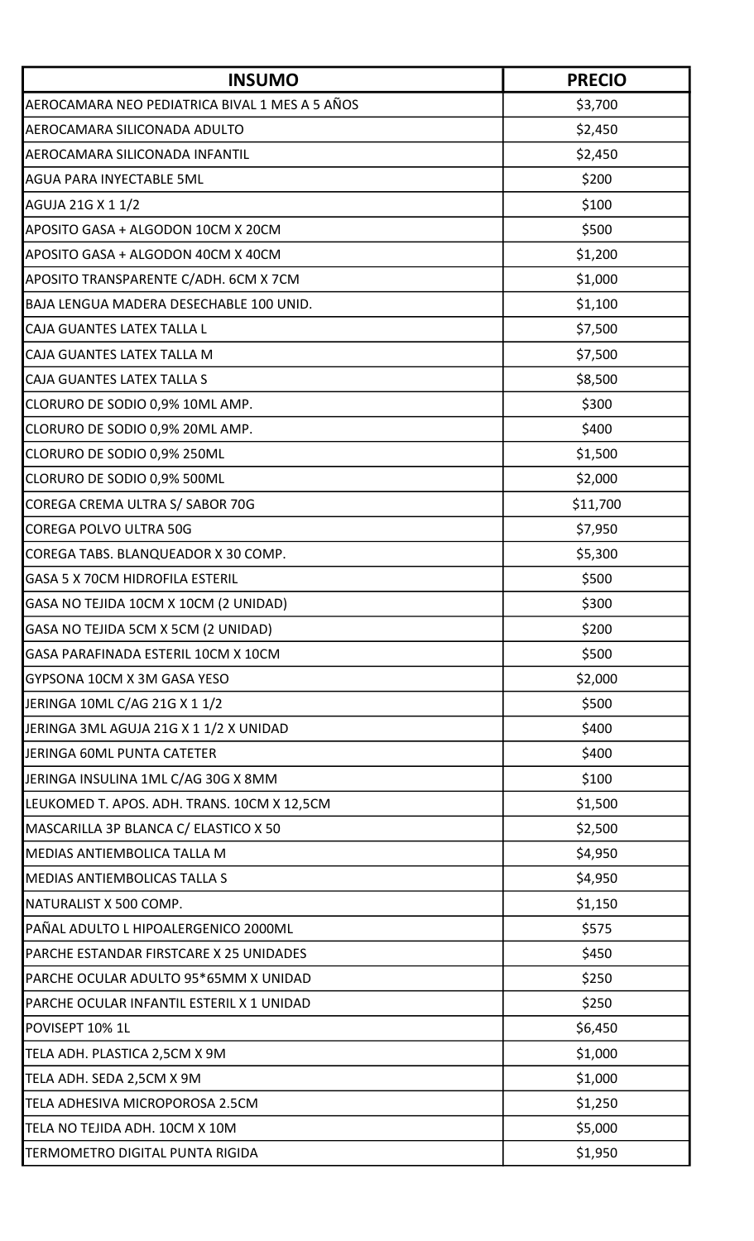| <b>INSUMO</b>                                  | <b>PRECIO</b> |
|------------------------------------------------|---------------|
| AEROCAMARA NEO PEDIATRICA BIVAL 1 MES A 5 AÑOS | \$3,700       |
| AEROCAMARA SILICONADA ADULTO                   | \$2,450       |
| AEROCAMARA SILICONADA INFANTIL                 | \$2,450       |
| <b>AGUA PARA INYECTABLE 5ML</b>                | \$200         |
| AGUJA 21G X 1 1/2                              | \$100         |
| APOSITO GASA + ALGODON 10CM X 20CM             | \$500         |
| APOSITO GASA + ALGODON 40CM X 40CM             | \$1,200       |
| APOSITO TRANSPARENTE C/ADH. 6CM X 7CM          | \$1,000       |
| BAJA LENGUA MADERA DESECHABLE 100 UNID.        | \$1,100       |
| CAJA GUANTES LATEX TALLA L                     | \$7,500       |
| CAJA GUANTES LATEX TALLA M                     | \$7,500       |
| CAJA GUANTES LATEX TALLA S                     | \$8,500       |
| CLORURO DE SODIO 0,9% 10ML AMP.                | \$300         |
| CLORURO DE SODIO 0,9% 20ML AMP.                | \$400         |
| CLORURO DE SODIO 0,9% 250ML                    | \$1,500       |
| CLORURO DE SODIO 0,9% 500ML                    | \$2,000       |
| COREGA CREMA ULTRA S/ SABOR 70G                | \$11,700      |
| COREGA POLVO ULTRA 50G                         | \$7,950       |
| COREGA TABS. BLANQUEADOR X 30 COMP.            | \$5,300       |
| <b>GASA 5 X 70CM HIDROFILA ESTERIL</b>         | \$500         |
| GASA NO TEJIDA 10CM X 10CM (2 UNIDAD)          | \$300         |
| GASA NO TEJIDA 5CM X 5CM (2 UNIDAD)            | \$200         |
| GASA PARAFINADA ESTERIL 10CM X 10CM            | \$500         |
| GYPSONA 10CM X 3M GASA YESO                    | \$2,000       |
| JERINGA 10ML C/AG 21G X 1 1/2                  | \$500         |
| JERINGA 3ML AGUJA 21G X 1 1/2 X UNIDAD         | \$400         |
| JERINGA 60ML PUNTA CATETER                     | \$400         |
| JERINGA INSULINA 1ML C/AG 30G X 8MM            | \$100         |
| LEUKOMED T. APOS. ADH. TRANS. 10CM X 12,5CM    | \$1,500       |
| MASCARILLA 3P BLANCA C/ ELASTICO X 50          | \$2,500       |
| MEDIAS ANTIEMBOLICA TALLA M                    | \$4,950       |
| <b>MEDIAS ANTIEMBOLICAS TALLA S</b>            | \$4,950       |
| NATURALIST X 500 COMP.                         | \$1,150       |
| PAÑAL ADULTO L HIPOALERGENICO 2000ML           | \$575         |
| PARCHE ESTANDAR FIRSTCARE X 25 UNIDADES        | \$450         |
| PARCHE OCULAR ADULTO 95*65MM X UNIDAD          | \$250         |
| PARCHE OCULAR INFANTIL ESTERIL X 1 UNIDAD      | \$250         |
| POVISEPT 10% 1L                                | \$6,450       |
| TELA ADH. PLASTICA 2,5CM X 9M                  | \$1,000       |
| TELA ADH. SEDA 2,5CM X 9M                      | \$1,000       |
| TELA ADHESIVA MICROPOROSA 2.5CM                | \$1,250       |
| TELA NO TEJIDA ADH. 10CM X 10M                 | \$5,000       |
| TERMOMETRO DIGITAL PUNTA RIGIDA                | \$1,950       |